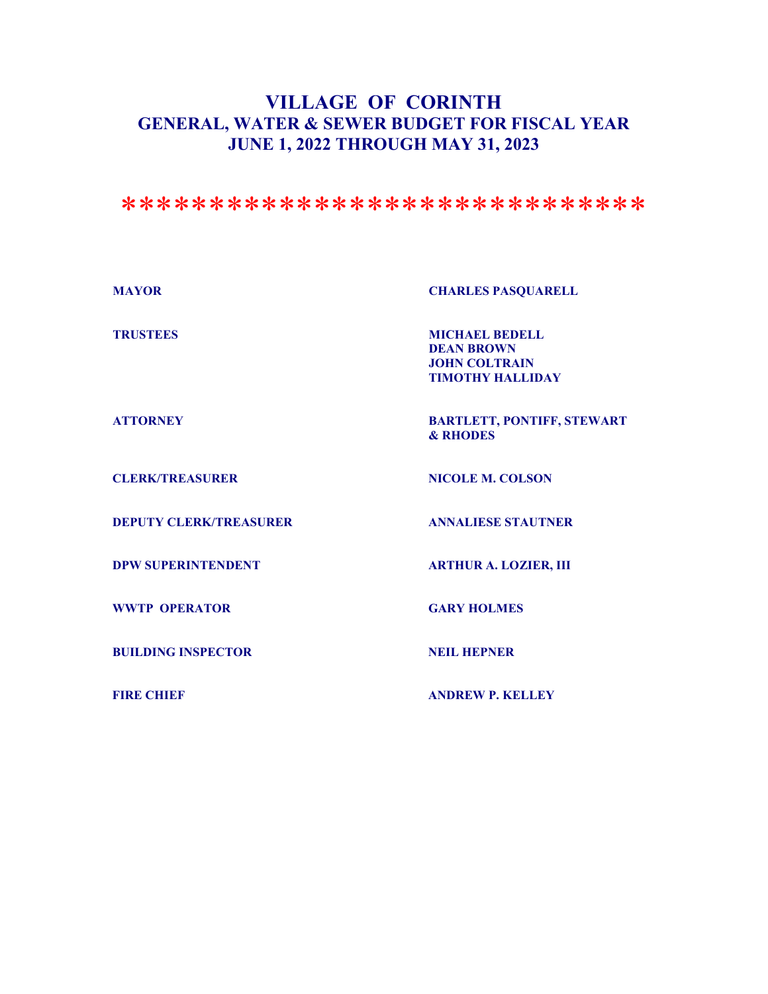## **VILLAGE OF CORINTH GENERAL, WATER & SEWER BUDGET FOR FISCAL YEAR JUNE 1, 2022 THROUGH MAY 31, 2023**

### \*\*\*\*\*\*\*\*\*\*\*\*\*\*\*\*\*\*\*\*\*\*\*\*\*\*\*\*\*\*

| <b>MAYOR</b>                  | <b>CHARLES PASQUARELL</b>                                                                     |
|-------------------------------|-----------------------------------------------------------------------------------------------|
| <b>TRUSTEES</b>               | <b>MICHAEL BEDELL</b><br><b>DEAN BROWN</b><br><b>JOHN COLTRAIN</b><br><b>TIMOTHY HALLIDAY</b> |
| <b>ATTORNEY</b>               | <b>BARTLETT, PONTIFF, STEWART</b><br><b>&amp; RHODES</b>                                      |
| <b>CLERK/TREASURER</b>        | <b>NICOLE M. COLSON</b>                                                                       |
| <b>DEPUTY CLERK/TREASURER</b> | <b>ANNALIESE STAUTNER</b>                                                                     |
| <b>DPW SUPERINTENDENT</b>     | <b>ARTHUR A. LOZIER, III</b>                                                                  |
| <b>WWTP OPERATOR</b>          | <b>GARY HOLMES</b>                                                                            |
| <b>BUILDING INSPECTOR</b>     | <b>NEIL HEPNER</b>                                                                            |
| <b>FIRE CHIEF</b>             | <b>ANDREW P. KELLEY</b>                                                                       |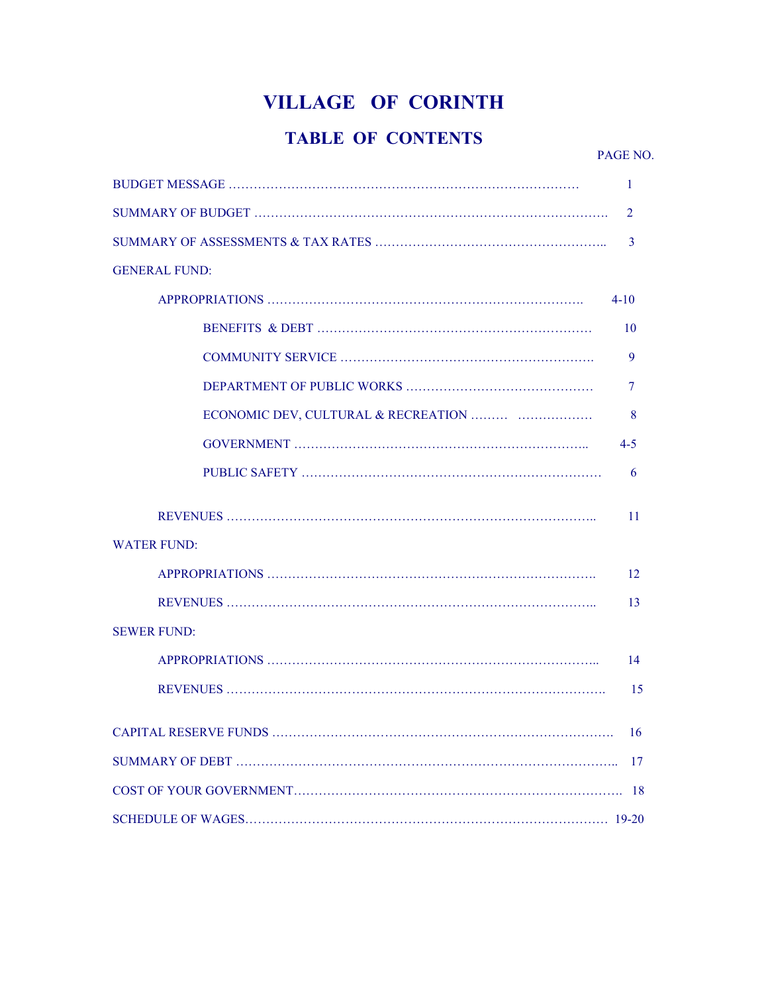## **TABLE OF CONTENTS**

|                                     | 1        |
|-------------------------------------|----------|
|                                     | 2        |
|                                     | 3        |
| <b>GENERAL FUND:</b>                |          |
|                                     | $4 - 10$ |
|                                     | 10       |
|                                     | 9        |
|                                     | 7        |
| ECONOMIC DEV, CULTURAL & RECREATION | 8        |
|                                     | $4 - 5$  |
|                                     | 6        |
|                                     | 11       |
| <b>WATER FUND:</b>                  |          |
|                                     | 12       |
|                                     | 13       |
| <b>SEWER FUND:</b>                  |          |
|                                     | 14       |
|                                     | 15       |
|                                     | 16       |
|                                     |          |
|                                     |          |
|                                     |          |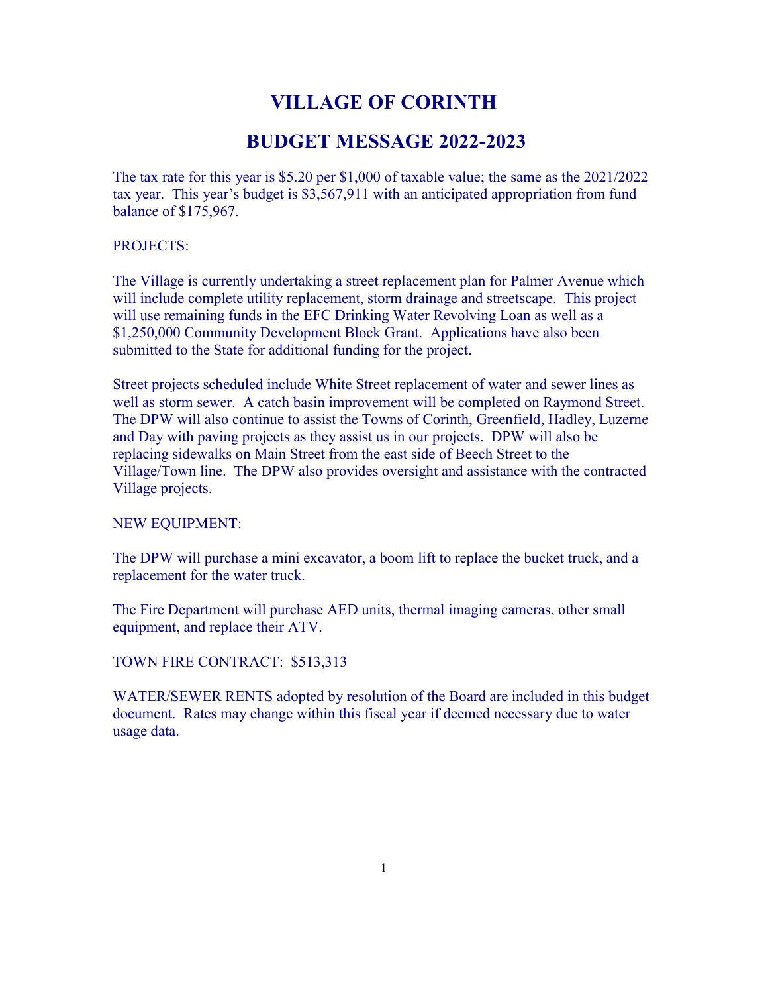## **BUDGET MESSAGE 2022-2023**

The tax rate for this year is \$5.20 per \$1,000 of taxable value; the same as the 2021/2022 tax year. This year's budget is \$3,567,911 with an anticipated appropriation from fund balance of \$175,967.

### PROJECTS:

The Village is currently undertaking a street replacement plan for Palmer Avenue which will include complete utility replacement, storm drainage and streetscape. This project will use remaining funds in the EFC Drinking Water Revolving Loan as well as a \$1,250,000 Community Development Block Grant. Applications have also been submitted to the State for additional funding for the project.

Street projects scheduled include White Street replacement of water and sewer lines as well as storm sewer. A catch basin improvement will be completed on Raymond Street. The DPW will also continue to assist the Towns of Corinth, Greenfield, Hadley, Luzerne and Day with paving projects as they assist us in our projects. DPW will also be replacing sidewalks on Main Street from the east side of Beech Street to the Village/Town line. The DPW also provides oversight and assistance with the contracted Village projects.

### NEW EQUIPMENT:

The DPW will purchase a mini excavator, a boom lift to replace the bucket truck, and a replacement for the water truck.

The Fire Department will purchase AED units, thermal imaging cameras, other small equipment, and replace their ATV.

TOWN FIRE CONTRACT: \$513,313

WATER/SEWER RENTS adopted by resolution of the Board are included in this budget document. Rates may change within this fiscal year if deemed necessary due to water usage data.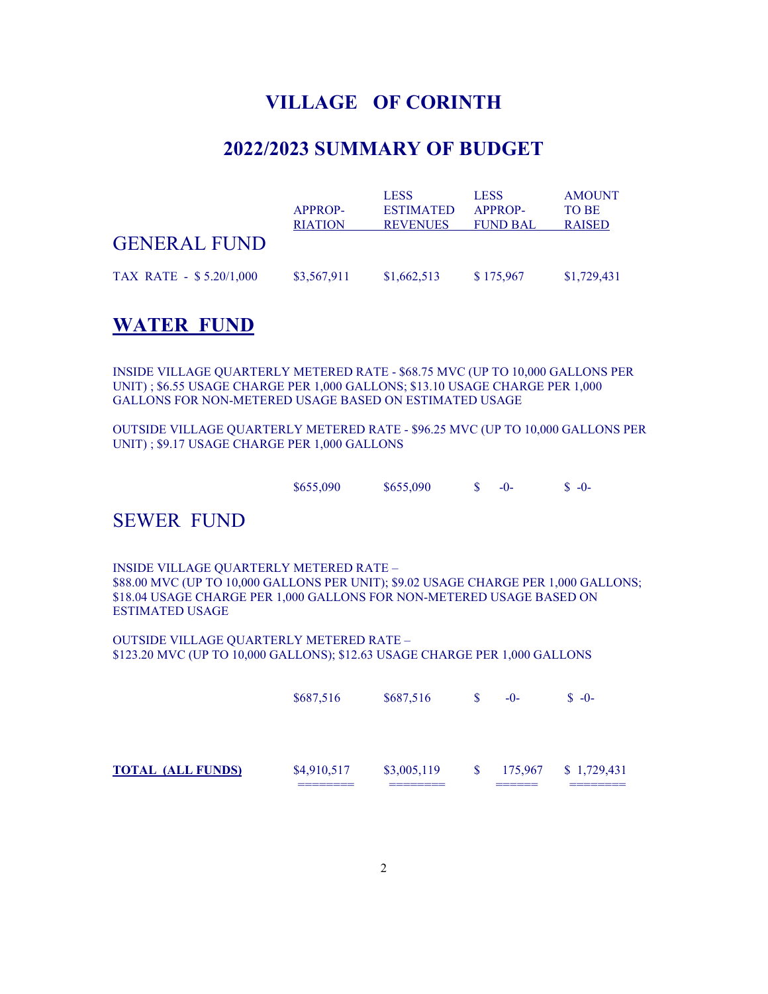## **2022/2023 SUMMARY OF BUDGET**

|                         |                | <b>LESS</b>      | <b>LESS</b>     | <b>AMOUNT</b> |
|-------------------------|----------------|------------------|-----------------|---------------|
|                         | APPROP-        | <b>ESTIMATED</b> | APPROP-         | TO BE         |
|                         | <b>RIATION</b> | <b>REVENUES</b>  | <b>FUND BAL</b> | <b>RAISED</b> |
| <b>GENERAL FUND</b>     |                |                  |                 |               |
| TAX RATE - \$5.20/1,000 | \$3,567,911    | \$1,662,513      | \$175,967       | \$1,729,431   |

## **WATER FUND**

INSIDE VILLAGE QUARTERLY METERED RATE - \$68.75 MVC (UP TO 10,000 GALLONS PER UNIT) ; \$6.55 USAGE CHARGE PER 1,000 GALLONS; \$13.10 USAGE CHARGE PER 1,000 GALLONS FOR NON-METERED USAGE BASED ON ESTIMATED USAGE

OUTSIDE VILLAGE QUARTERLY METERED RATE - \$96.25 MVC (UP TO 10,000 GALLONS PER UNIT) ; \$9.17 USAGE CHARGE PER 1,000 GALLONS

| \$655,090 | \$655,090 | $S = -0$ |  | $S - 0$ |  |  |
|-----------|-----------|----------|--|---------|--|--|
|-----------|-----------|----------|--|---------|--|--|

## SEWER FUND

INSIDE VILLAGE QUARTERLY METERED RATE – \$88.00 MVC (UP TO 10,000 GALLONS PER UNIT); \$9.02 USAGE CHARGE PER 1,000 GALLONS; \$18.04 USAGE CHARGE PER 1,000 GALLONS FOR NON-METERED USAGE BASED ON ESTIMATED USAGE

OUTSIDE VILLAGE QUARTERLY METERED RATE – \$123.20 MVC (UP TO 10,000 GALLONS); \$12.63 USAGE CHARGE PER 1,000 GALLONS

|                          | \$687,516              | \$687,516 | S. | $-0-$ | $S - 0$              |
|--------------------------|------------------------|-----------|----|-------|----------------------|
|                          |                        |           |    |       |                      |
| <b>TOTAL (ALL FUNDS)</b> | \$4,910,517<br>_______ |           |    |       | 175,967 \$ 1,729,431 |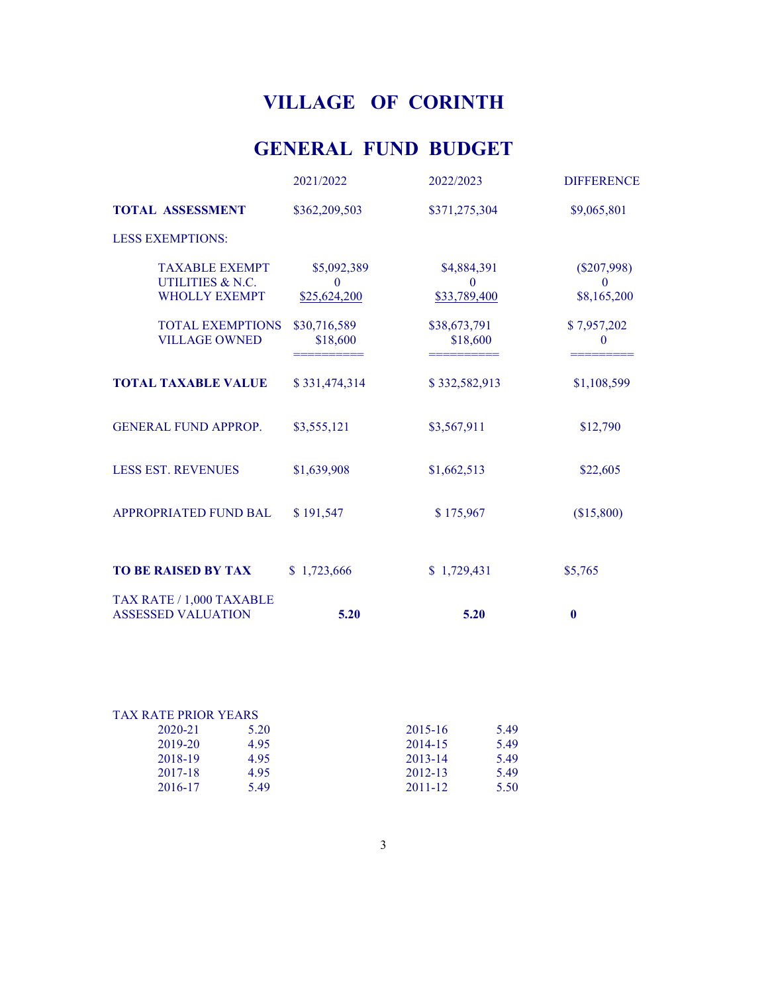|                                                                   | 2021/2022                        | 2022/2023                        | <b>DIFFERENCE</b>                            |
|-------------------------------------------------------------------|----------------------------------|----------------------------------|----------------------------------------------|
| <b>TOTAL ASSESSMENT</b>                                           | \$362,209,503                    | \$371,275,304                    | \$9,065,801                                  |
| <b>LESS EXEMPTIONS:</b>                                           |                                  |                                  |                                              |
| <b>TAXABLE EXEMPT</b><br>UTILITIES & N.C.<br><b>WHOLLY EXEMPT</b> | \$5,092,389<br>0<br>\$25,624,200 | \$4,884,391<br>0<br>\$33,789,400 | $(\$207,998)$<br>$\mathbf{0}$<br>\$8,165,200 |
| <b>TOTAL EXEMPTIONS</b><br><b>VILLAGE OWNED</b>                   | \$30,716,589<br>\$18,600         | \$38,673,791<br>\$18,600         | \$7,957,202<br>0                             |
| <b>TOTAL TAXABLE VALUE</b>                                        | \$331,474,314                    | \$332,582,913                    | \$1,108,599                                  |
| <b>GENERAL FUND APPROP.</b>                                       | \$3,555,121                      | \$3,567,911                      | \$12,790                                     |
| <b>LESS EST. REVENUES</b>                                         | \$1,639,908                      | \$1,662,513                      | \$22,605                                     |
| <b>APPROPRIATED FUND BAL</b>                                      | \$191,547                        | \$175,967                        | (\$15,800)                                   |
| <b>TO BE RAISED BY TAX</b>                                        | \$1,723,666                      | \$1,729,431                      | \$5,765                                      |
| TAX RATE / 1,000 TAXABLE<br><b>ASSESSED VALUATION</b>             | 5.20                             | 5.20                             | $\bf{0}$                                     |

| TAX RATE PRIOR YEARS |      |         |      |
|----------------------|------|---------|------|
| 2020-21              | 5.20 | 2015-16 | 549  |
| 2019-20              | 495  | 2014-15 | 5.49 |
| 2018-19              | 495  | 2013-14 | 5.49 |
| 2017-18              | 495  | 2012-13 | 5.49 |
| 2016-17              | 549  | 2011-12 | 5.50 |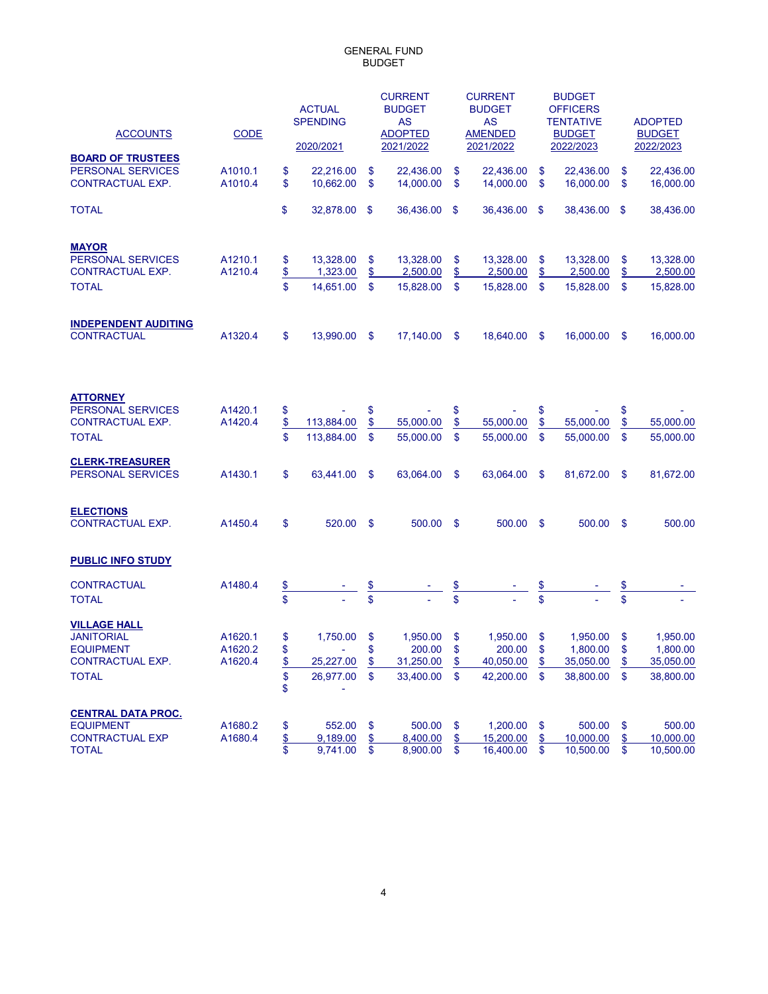| <b>ACCOUNTS</b><br><b>BOARD OF TRUSTEES</b>                                                      | <b>CODE</b>                   |                                  | <b>ACTUAL</b><br><b>SPENDING</b><br>2020/2021                  |                                            | <b>CURRENT</b><br><b>BUDGET</b><br><b>AS</b><br><b>ADOPTED</b><br>2021/2022 |                                                      | <b>CURRENT</b><br><b>BUDGET</b><br><b>AS</b><br><b>AMENDED</b><br>2021/2022 |                                           | <b>BUDGET</b><br><b>OFFICERS</b><br><b>TENTATIVE</b><br><b>BUDGET</b><br>2022/2023 |                                            | <b>ADOPTED</b><br><b>BUDGET</b><br>2022/2023   |
|--------------------------------------------------------------------------------------------------|-------------------------------|----------------------------------|----------------------------------------------------------------|--------------------------------------------|-----------------------------------------------------------------------------|------------------------------------------------------|-----------------------------------------------------------------------------|-------------------------------------------|------------------------------------------------------------------------------------|--------------------------------------------|------------------------------------------------|
| PERSONAL SERVICES<br>CONTRACTUAL EXP.                                                            | A1010.1<br>A1010.4            | \$<br>\$                         | 22,216.00<br>10,662.00                                         | \$<br>\$                                   | 22,436.00<br>14.000.00                                                      | \$<br>\$                                             | 22,436.00<br>14.000.00                                                      | \$<br>\$                                  | 22,436.00<br>16,000.00                                                             | \$<br>\$                                   | 22,436.00<br>16,000.00                         |
|                                                                                                  |                               |                                  |                                                                |                                            |                                                                             |                                                      |                                                                             |                                           |                                                                                    |                                            |                                                |
| <b>TOTAL</b>                                                                                     |                               | \$                               | 32,878.00                                                      | -\$                                        | 36,436.00                                                                   | \$                                                   | 36,436.00                                                                   | \$                                        | 38,436.00                                                                          | \$                                         | 38,436.00                                      |
| <b>MAYOR</b><br><b>PERSONAL SERVICES</b>                                                         | A1210.1                       | \$                               | 13,328.00                                                      | \$                                         | 13,328.00                                                                   | \$                                                   | 13,328.00                                                                   | \$                                        | 13,328.00                                                                          | \$                                         | 13,328.00                                      |
| <b>CONTRACTUAL EXP.</b>                                                                          | A1210.4                       | $\frac{1}{2}$                    | 1,323.00                                                       | \$                                         | 2,500.00                                                                    | $\frac{1}{2}$                                        | 2,500.00                                                                    | \$                                        | 2,500.00                                                                           | $\frac{1}{2}$                              | 2,500.00                                       |
| <b>TOTAL</b>                                                                                     |                               | \$                               | 14,651.00                                                      | \$                                         | 15,828.00                                                                   | \$                                                   | 15,828.00                                                                   | \$                                        | 15,828.00                                                                          | $\mathsf{\$}$                              | 15,828.00                                      |
| <b>INDEPENDENT AUDITING</b><br><b>CONTRACTUAL</b>                                                | A1320.4                       | \$                               | 13,990.00                                                      | $\mathbf{\$}$                              | 17,140.00                                                                   | \$                                                   | 18,640.00                                                                   | \$                                        | 16,000.00                                                                          | -\$                                        | 16,000.00                                      |
| <b>ATTORNEY</b><br><b>PERSONAL SERVICES</b>                                                      | A1420.1                       | \$                               |                                                                | \$                                         |                                                                             | \$                                                   |                                                                             | \$                                        |                                                                                    | \$                                         |                                                |
| <b>CONTRACTUAL EXP.</b>                                                                          | A1420.4                       | \$                               | 113,884.00                                                     | \$                                         | 55,000.00                                                                   | \$                                                   | 55,000.00                                                                   | \$                                        | 55,000.00                                                                          | \$                                         | 55,000.00                                      |
| <b>TOTAL</b>                                                                                     |                               | \$                               | 113,884.00                                                     | $\mathbf s$                                | 55,000.00                                                                   | $\mathbf S$                                          | 55,000.00                                                                   | $\mathbf s$                               | 55,000.00                                                                          | \$                                         | 55,000.00                                      |
| <b>CLERK-TREASURER</b><br>PERSONAL SERVICES                                                      | A1430.1                       | \$                               | 63,441.00                                                      | \$                                         | 63,064.00                                                                   | $\mathbf{\$}$                                        | 63,064.00                                                                   | \$                                        | 81,672.00                                                                          | \$                                         | 81,672.00                                      |
| <b>ELECTIONS</b><br>CONTRACTUAL EXP.                                                             | A1450.4                       | \$                               | 520.00                                                         | \$                                         | 500.00                                                                      | $\mathsf{\$}$                                        | 500.00                                                                      | \$                                        | 500.00                                                                             | -\$                                        | 500.00                                         |
| <b>PUBLIC INFO STUDY</b>                                                                         |                               |                                  |                                                                |                                            |                                                                             |                                                      |                                                                             |                                           |                                                                                    |                                            |                                                |
| <b>CONTRACTUAL</b>                                                                               | A1480.4                       | <u>\$</u>                        |                                                                | \$                                         |                                                                             | <u>\$</u>                                            |                                                                             |                                           |                                                                                    | \$                                         |                                                |
| <b>TOTAL</b>                                                                                     |                               | \$                               |                                                                | \$                                         |                                                                             | \$                                                   |                                                                             | \$<br>\$                                  |                                                                                    | \$                                         |                                                |
| <b>VILLAGE HALL</b><br><b>JANITORIAL</b><br><b>EQUIPMENT</b><br>CONTRACTUAL EXP.<br><b>TOTAL</b> | A1620.1<br>A1620.2<br>A1620.4 | \$<br>\$<br>$\frac{16}{9}$<br>\$ | 1,750.00<br>$\overline{\phantom{a}}$<br>25,227.00<br>26,977.00 | \$<br>\$<br>$\frac{1}{2}$<br>$\mathsf{\$}$ | 1,950.00<br>200.00<br>31,250.00<br>33,400.00                                | \$<br>\$<br>$\frac{3}{2}$<br>$\sqrt[6]{\frac{1}{2}}$ | 1,950.00<br>200.00<br>40,050.00<br>42,200.00                                | \$<br>\$<br>$\frac{3}{2}$<br>$\mathbf{s}$ | 1,950.00<br>1,800.00<br>35,050.00<br>38,800.00                                     | \$<br>\$<br>$\frac{3}{2}$<br>$\mathsf{\$}$ | 1,950.00<br>1,800.00<br>35,050.00<br>38,800.00 |
| <b>CENTRAL DATA PROC.</b><br><b>EQUIPMENT</b><br><b>CONTRACTUAL EXP</b><br><b>TOTAL</b>          | A1680.2<br>A1680.4            | \$<br>\$<br>\$                   | 552.00<br>9,189.00<br>9,741.00                                 | \$<br>$\frac{1}{2}$<br>\$                  | 500.00<br>8,400.00<br>8,900.00                                              | \$<br>$\frac{1}{2}$<br>\$                            | 1,200.00<br>15,200.00<br>16,400.00                                          | \$<br>$\frac{1}{2}$<br>\$                 | 500.00<br>10,000.00<br>10,500.00                                                   | \$<br>$\frac{1}{2}$<br>\$                  | 500.00<br>10,000.00<br>10,500.00               |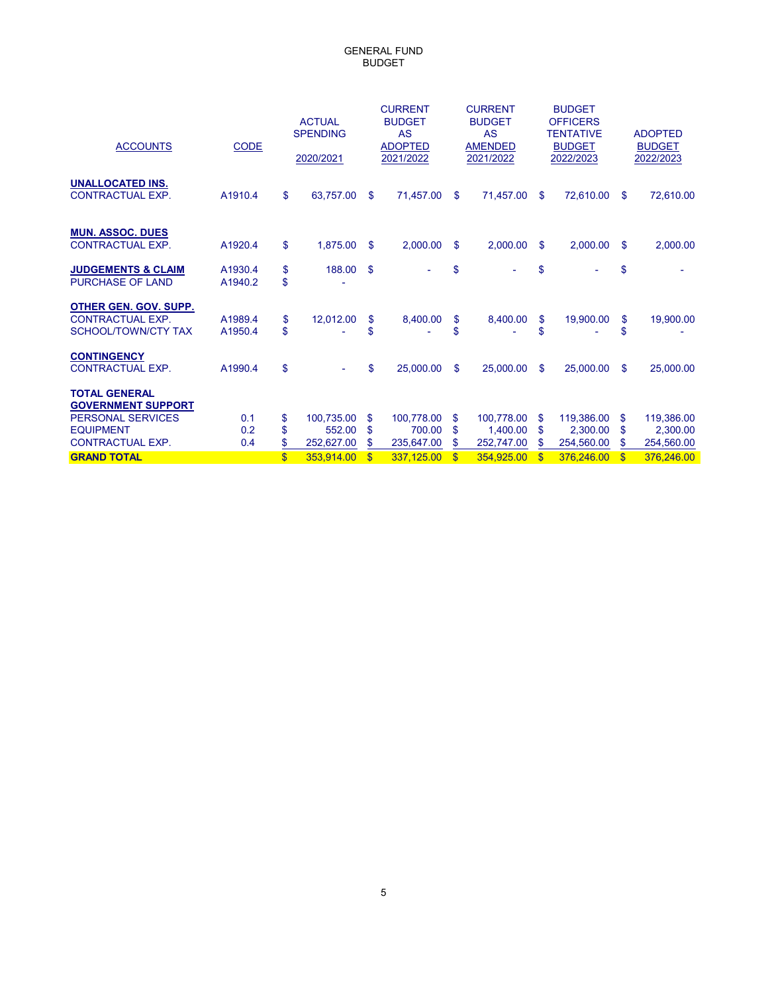| <b>ACCOUNTS</b>                                                                | <b>CODE</b>        |                         | <b>ACTUAL</b><br><b>SPENDING</b><br>2020/2021 |                       | <b>CURRENT</b><br><b>BUDGET</b><br><b>AS</b><br><b>ADOPTED</b><br>2021/2022 |                       | <b>CURRENT</b><br><b>BUDGET</b><br><b>AS</b><br><b>AMENDED</b><br>2021/2022 |               | <b>BUDGET</b><br><b>OFFICERS</b><br><b>TENTATIVE</b><br><b>BUDGET</b><br>2022/2023 |               | <b>ADOPTED</b><br><b>BUDGET</b><br>2022/2023 |
|--------------------------------------------------------------------------------|--------------------|-------------------------|-----------------------------------------------|-----------------------|-----------------------------------------------------------------------------|-----------------------|-----------------------------------------------------------------------------|---------------|------------------------------------------------------------------------------------|---------------|----------------------------------------------|
| <b>UNALLOCATED INS.</b><br><b>CONTRACTUAL EXP.</b>                             | A1910.4            | \$                      | 63.757.00                                     | -S                    | 71.457.00                                                                   | $\mathbf{s}$          | 71.457.00                                                                   | S.            | 72.610.00                                                                          | \$            | 72,610.00                                    |
| <b>MUN. ASSOC. DUES</b><br><b>CONTRACTUAL EXP.</b>                             | A1920.4            | \$                      | 1.875.00                                      | - \$                  | 2,000.00                                                                    | \$.                   | 2.000.00                                                                    | $\mathbf{\$}$ | 2.000.00                                                                           | \$.           | 2,000.00                                     |
| <b>JUDGEMENTS &amp; CLAIM</b><br><b>PURCHASE OF LAND</b>                       | A1930.4<br>A1940.2 | \$<br>\$                | 188.00                                        | <b>S</b>              |                                                                             | \$                    |                                                                             | \$            |                                                                                    | \$            |                                              |
| OTHER GEN. GOV. SUPP.<br><b>CONTRACTUAL EXP.</b><br><b>SCHOOL/TOWN/CTY TAX</b> | A1989.4<br>A1950.4 | \$<br>\$                | 12,012.00                                     | \$<br>\$              | 8,400.00                                                                    | $\mathbf s$<br>\$     | 8,400.00                                                                    | \$<br>\$      | 19,900.00                                                                          | \$<br>\$      | 19,900.00                                    |
| <b>CONTINGENCY</b><br><b>CONTRACTUAL EXP.</b>                                  | A1990.4            | \$                      |                                               | \$                    | 25,000.00                                                                   | <b>S</b>              | 25,000.00                                                                   | <b>S</b>      | 25,000.00                                                                          | \$.           | 25,000.00                                    |
| <b>TOTAL GENERAL</b><br><b>GOVERNMENT SUPPORT</b>                              |                    |                         |                                               |                       |                                                                             |                       |                                                                             |               |                                                                                    |               |                                              |
| <b>PERSONAL SERVICES</b>                                                       | 0.1                | \$                      | 100,735.00                                    | \$.                   | 100,778.00                                                                  | \$.                   | 100,778.00                                                                  | \$.           | 119,386.00                                                                         | S.            | 119,386.00                                   |
| <b>EQUIPMENT</b>                                                               | 0.2                | \$                      | 552.00                                        | \$                    | 700.00                                                                      | \$                    | 1,400.00                                                                    | \$            | 2,300.00                                                                           | \$            | 2,300.00                                     |
| <b>CONTRACTUAL EXP.</b>                                                        | 0.4                | \$                      | 252,627.00                                    | \$                    | 235,647.00                                                                  | \$                    | 252,747.00                                                                  | \$            | 254,560.00                                                                         | \$            | 254,560.00                                   |
| <b>GRAND TOTAL</b>                                                             |                    | $\overline{\mathbb{S}}$ | 353.914.00                                    | $\mathbf{\mathsf{s}}$ | 337.125.00                                                                  | $\mathbf{\mathsf{s}}$ | 354,925.00                                                                  | $\mathbf{s}$  | 376.246.00                                                                         | $\mathbf{\$}$ | 376.246.00                                   |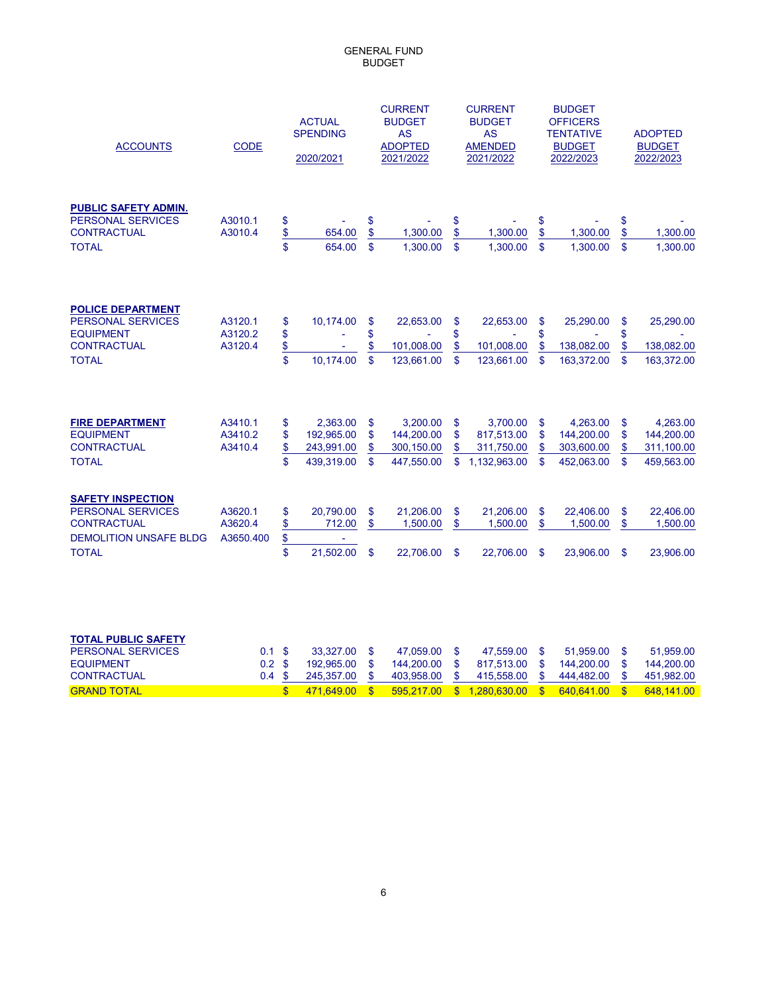| <b>ACCOUNTS</b>                                                                                                      | <b>CODE</b>                     |                                 | <b>ACTUAL</b><br><b>SPENDING</b><br>2020/2021      |                               | <b>CURRENT</b><br><b>BUDGET</b><br><b>AS</b><br><b>ADOPTED</b><br>2021/2022 |                                     | <b>CURRENT</b><br><b>BUDGET</b><br><b>AS</b><br><b>AMENDED</b><br>2021/2022 |                               | <b>BUDGET</b><br><b>OFFICERS</b><br><b>TENTATIVE</b><br><b>BUDGET</b><br>2022/2023 |                                | <b>ADOPTED</b><br><b>BUDGET</b><br>2022/2023       |
|----------------------------------------------------------------------------------------------------------------------|---------------------------------|---------------------------------|----------------------------------------------------|-------------------------------|-----------------------------------------------------------------------------|-------------------------------------|-----------------------------------------------------------------------------|-------------------------------|------------------------------------------------------------------------------------|--------------------------------|----------------------------------------------------|
| <b>PUBLIC SAFETY ADMIN.</b><br><b>PERSONAL SERVICES</b><br><b>CONTRACTUAL</b><br><b>TOTAL</b>                        | A3010.1<br>A3010.4              | \$<br>\$<br>\$                  | 654.00<br>654.00                                   | \$<br>\$<br>\$                | 1,300.00<br>1,300.00                                                        | \$<br>$\frac{1}{2}$<br>$\mathbb{S}$ | 1,300.00<br>1,300.00                                                        | \$<br>$\frac{1}{2}$<br>\$     | 1,300.00<br>1,300.00                                                               | \$<br>\$<br>$\mathsf{\$}$      | 1,300.00<br>1,300.00                               |
| <b>POLICE DEPARTMENT</b><br><b>PERSONAL SERVICES</b><br><b>EQUIPMENT</b><br><b>CONTRACTUAL</b><br><b>TOTAL</b>       | A3120.1<br>A3120.2<br>A3120.4   | \$<br>\$<br>\$<br>\$            | 10,174.00<br>$\overline{\phantom{a}}$<br>10.174.00 | \$<br>\$<br>\$<br>$\mathbf S$ | 22,653.00<br>101,008.00<br>123.661.00                                       | \$<br>\$<br>\$<br>\$                | 22,653.00<br>÷.<br>101,008.00<br>123.661.00                                 | \$<br>\$<br>\$<br>$\mathbf S$ | 25,290.00<br>÷<br>138,082.00<br>163,372.00                                         | \$<br>\$<br>\$<br>$\mathbf{s}$ | 25,290.00<br>138,082.00<br>163,372.00              |
| <b>FIRE DEPARTMENT</b><br><b>EQUIPMENT</b><br><b>CONTRACTUAL</b><br><b>TOTAL</b>                                     | A3410.1<br>A3410.2<br>A3410.4   | \$<br>\$<br>\$<br>\$            | 2,363.00<br>192,965.00<br>243,991.00<br>439,319.00 | \$<br>\$<br>\$<br>\$          | 3,200.00<br>144,200.00<br>300,150.00<br>447,550.00                          | \$<br>\$<br>\$<br>\$                | 3,700.00<br>817,513.00<br>311,750.00<br>1,132,963.00                        | \$<br>\$<br>\$<br>\$          | 4.263.00<br>144,200.00<br>303,600.00<br>452,063.00                                 | \$<br>\$<br>\$<br>$\mathbf S$  | 4,263.00<br>144,200.00<br>311,100.00<br>459,563.00 |
| <b>SAFETY INSPECTION</b><br>PERSONAL SERVICES<br><b>CONTRACTUAL</b><br><b>DEMOLITION UNSAFE BLDG</b><br><b>TOTAL</b> | A3620.1<br>A3620.4<br>A3650.400 | \$<br>$\frac{1}{2}$<br>\$<br>\$ | 20,790.00<br>712.00<br>$\blacksquare$<br>21,502.00 | \$<br>\$<br>$\mathbf S$       | 21,206.00<br>1,500.00<br>22,706.00                                          | \$<br>\$<br>\$                      | 21,206.00<br>1,500.00<br>22,706.00                                          | \$<br>\$<br>\$                | 22,406.00<br>1,500.00<br>23,906.00                                                 | \$<br>\$<br>\$                 | 22,406.00<br>1,500.00<br>23,906.00                 |
| <b>TOTAL PUBLIC SAFETY</b>                                                                                           |                                 |                                 |                                                    |                               |                                                                             |                                     |                                                                             |                               |                                                                                    |                                |                                                    |

| PERSONAL SERVICES  |  | 33.327.00 \$  | 47.059.00 \$  | 47.559.00                                                      | -SS | 51.959.00 \$  | 51.959.00  |
|--------------------|--|---------------|---------------|----------------------------------------------------------------|-----|---------------|------------|
| <b>EQUIPMENT</b>   |  | 192.965.00 \$ | 144.200.00 \$ | 817.513.00                                                     | -SS | 144.200.00 \$ | 144.200.00 |
| <b>CONTRACTUAL</b> |  |               |               | 0.4 \$ 245,357.00 \$ 403,958.00 \$ 415,558.00 \$ 444,482.00 \$ |     |               | 451.982.00 |
| <b>GRAND TOTAL</b> |  |               |               | \$ 471,649.00 \$ 595,217.00 \$ 1,280,630.00 \$ 640,641.00 \$   |     |               | 648.141.00 |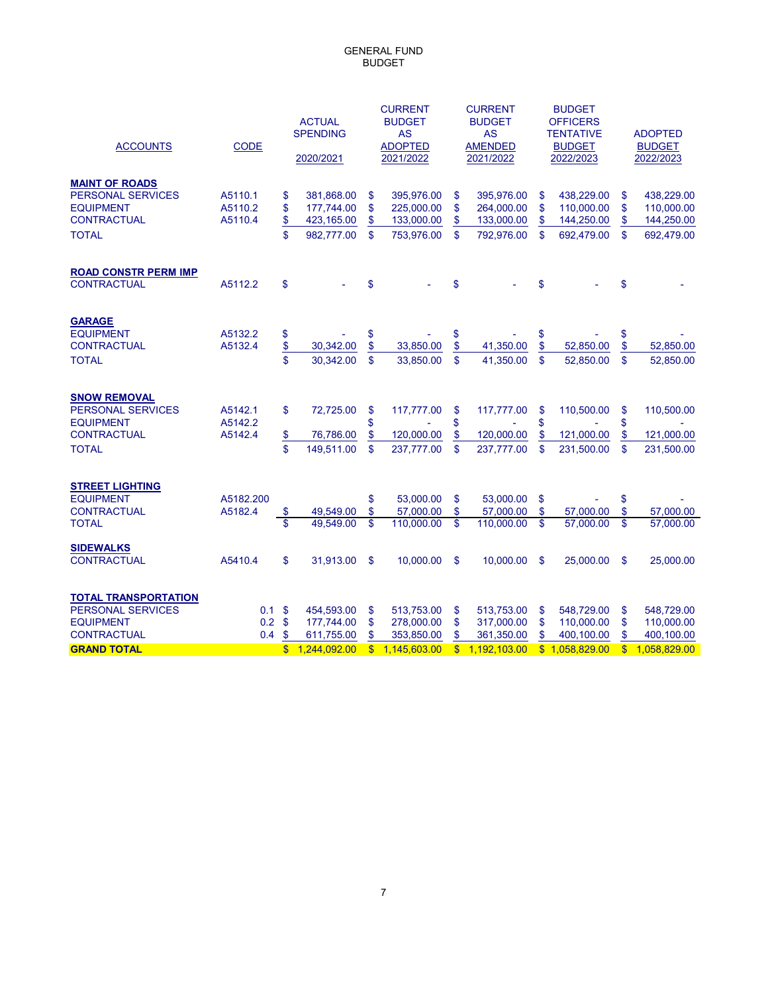| <b>ACCOUNTS</b>                                                                                                  | <b>CODE</b>                   |                                                                                        | <b>ACTUAL</b><br><b>SPENDING</b><br>2020/2021          |                                           | <b>CURRENT</b><br><b>BUDGET</b><br><b>AS</b><br><b>ADOPTED</b><br>2021/2022 |                                           | <b>CURRENT</b><br><b>BUDGET</b><br><b>AS</b><br><b>AMENDED</b><br>2021/2022 |                          | <b>BUDGET</b><br><b>OFFICERS</b><br><b>TENTATIVE</b><br><b>BUDGET</b><br>2022/2023 |                                           | <b>ADOPTED</b><br><b>BUDGET</b><br>2022/2023           |
|------------------------------------------------------------------------------------------------------------------|-------------------------------|----------------------------------------------------------------------------------------|--------------------------------------------------------|-------------------------------------------|-----------------------------------------------------------------------------|-------------------------------------------|-----------------------------------------------------------------------------|--------------------------|------------------------------------------------------------------------------------|-------------------------------------------|--------------------------------------------------------|
| <b>MAINT OF ROADS</b><br><b>PERSONAL SERVICES</b><br><b>EQUIPMENT</b><br><b>CONTRACTUAL</b><br><b>TOTAL</b>      | A5110.1<br>A5110.2<br>A5110.4 | \$<br>\$<br>\$<br>\$                                                                   | 381,868.00<br>177,744.00<br>423,165.00<br>982,777.00   | \$<br>\$<br>\$<br>\$                      | 395,976.00<br>225,000.00<br>133,000.00<br>753,976.00                        | \$<br>\$<br>\$<br>$\mathbf S$             | 395,976.00<br>264,000.00<br>133,000.00<br>792,976.00                        | \$<br>\$<br>\$<br>\$     | 438,229.00<br>110,000.00<br>144,250.00<br>692,479.00                               | \$<br>\$<br>\$<br>\$                      | 438,229.00<br>110,000.00<br>144,250.00<br>692,479.00   |
| <b>ROAD CONSTR PERM IMP</b><br><b>CONTRACTUAL</b>                                                                | A5112.2                       | $\mathbf{\$}$                                                                          |                                                        | \$                                        |                                                                             | \$                                        |                                                                             | \$                       |                                                                                    | \$                                        |                                                        |
| <b>GARAGE</b><br><b>EQUIPMENT</b><br><b>CONTRACTUAL</b><br><b>TOTAL</b>                                          | A5132.2<br>A5132.4            | \$<br>\$<br>\$                                                                         | 30,342.00<br>30.342.00                                 | \$<br>\$<br>\$                            | 33,850.00<br>33.850.00                                                      | \$<br>\$<br>$\mathbf{s}$                  | 41,350.00<br>41.350.00                                                      | \$<br>\$<br>$\mathbf{s}$ | 52,850.00<br>52.850.00                                                             | \$<br>\$<br>\$                            | 52,850.00<br>52,850.00                                 |
| <b>SNOW REMOVAL</b><br><b>PERSONAL SERVICES</b><br><b>EQUIPMENT</b><br><b>CONTRACTUAL</b><br><b>TOTAL</b>        | A5142.1<br>A5142.2<br>A5142.4 | \$<br>$\frac{1}{2}$<br>\$                                                              | 72,725.00<br>76,786.00<br>149.511.00                   | \$<br>\$<br>\$<br>\$                      | 117,777.00<br>120,000.00<br>237.777.00                                      | \$<br>\$<br>\$<br>$\mathbf{s}$            | 117,777.00<br>120,000.00<br>237.777.00                                      | \$<br>\$<br>\$<br>\$     | 110,500.00<br>121,000.00<br>231,500.00                                             | \$<br>\$<br>\$<br>\$                      | 110,500.00<br>121,000.00<br>231,500.00                 |
| <b>STREET LIGHTING</b><br><b>EQUIPMENT</b><br><b>CONTRACTUAL</b><br><b>TOTAL</b>                                 | A5182.200<br>A5182.4          | \$<br>\$                                                                               | 49,549.00<br>49.549.00                                 | \$<br>\$<br>\$                            | 53,000.00<br>57.000.00<br>110,000.00                                        | \$<br>\$<br>\$                            | 53,000.00<br>57,000.00<br>110,000.00                                        | \$<br>\$<br>\$           | 57,000.00<br>57,000.00                                                             | \$<br>\$<br>\$                            | 57,000.00<br>57,000.00                                 |
| <b>SIDEWALKS</b><br><b>CONTRACTUAL</b>                                                                           | A5410.4                       | \$                                                                                     | 31,913.00                                              | \$.                                       | 10,000.00                                                                   | \$                                        | 10,000.00                                                                   | \$                       | 25,000.00                                                                          | \$                                        | 25,000.00                                              |
| <b>TOTAL TRANSPORTATION</b><br>PERSONAL SERVICES<br><b>EQUIPMENT</b><br><b>CONTRACTUAL</b><br><b>GRAND TOTAL</b> | 0.1<br>0.2<br>0.4             | $\mathbf{\$}$<br>$\mathbf{\$}$<br>$\boldsymbol{\mathsf{s}}$<br>$\overline{\mathbb{S}}$ | 454,593.00<br>177,744.00<br>611,755.00<br>1,244,092.00 | \$<br>\$<br>\$<br>$\overline{\mathbb{S}}$ | 513,753.00<br>278,000.00<br>353,850.00<br>1,145,603.00                      | \$<br>\$<br>\$<br>$\overline{\mathbb{S}}$ | 513,753.00<br>317,000.00<br>361,350.00<br>1,192,103.00                      | \$<br>\$<br>\$           | 548,729.00<br>110,000.00<br>400,100.00<br>\$1,058,829.00                           | \$<br>\$<br>\$<br>$\overline{\mathbb{S}}$ | 548,729.00<br>110,000.00<br>400,100.00<br>1,058,829.00 |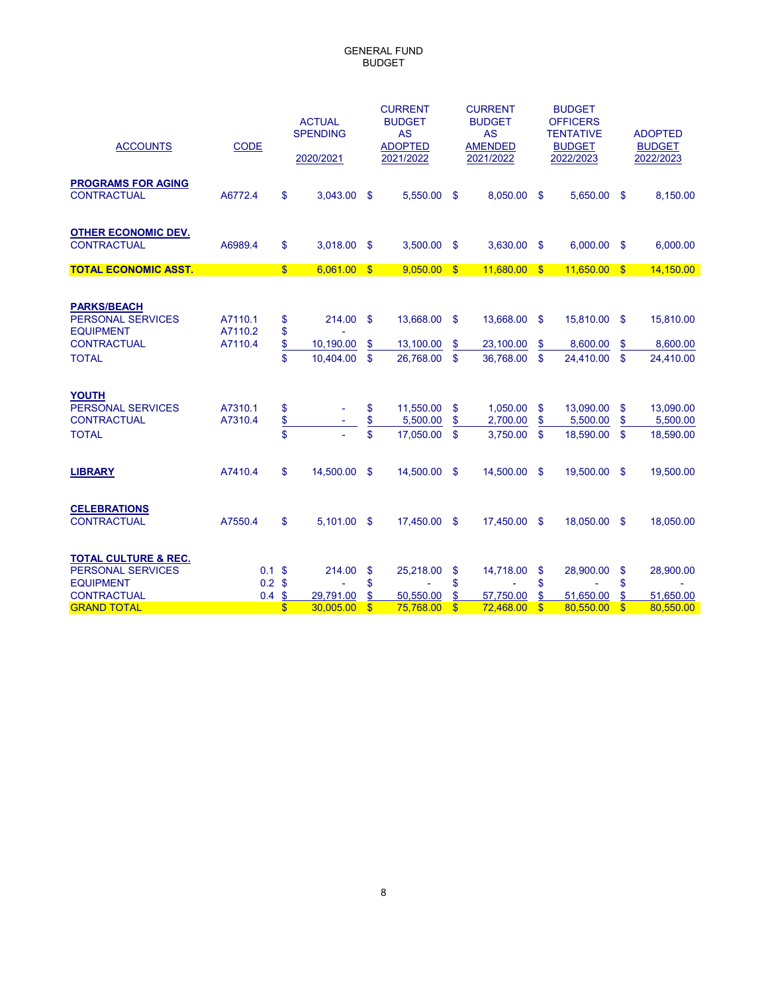| <b>ACCOUNTS</b>                                                                                          | <b>CODE</b>                   |                                 | <b>ACTUAL</b><br><b>SPENDING</b><br>2020/2021 |                           | <b>CURRENT</b><br><b>BUDGET</b><br><b>AS</b><br><b>ADOPTED</b><br>2021/2022 |                                     | <b>CURRENT</b><br><b>BUDGET</b><br><b>AS</b><br><b>AMENDED</b><br>2021/2022 |                                      | <b>BUDGET</b><br><b>OFFICERS</b><br><b>TENTATIVE</b><br><b>BUDGET</b><br>2022/2023 |                            | <b>ADOPTED</b><br><b>BUDGET</b><br>2022/2023 |
|----------------------------------------------------------------------------------------------------------|-------------------------------|---------------------------------|-----------------------------------------------|---------------------------|-----------------------------------------------------------------------------|-------------------------------------|-----------------------------------------------------------------------------|--------------------------------------|------------------------------------------------------------------------------------|----------------------------|----------------------------------------------|
| <b>PROGRAMS FOR AGING</b><br><b>CONTRACTUAL</b>                                                          | A6772.4                       | \$                              | 3,043.00                                      | - \$                      | 5,550.00                                                                    | $\mathbf{\$}$                       | 8,050.00                                                                    | $\mathbf{s}$                         | 5,650.00                                                                           | - \$                       | 8,150.00                                     |
| <b>OTHER ECONOMIC DEV.</b><br><b>CONTRACTUAL</b>                                                         | A6989.4                       | \$                              | 3,018.00                                      | \$                        | 3,500.00                                                                    | $\mathbf{\$}$                       | 3,630.00                                                                    | \$                                   | 6,000.00                                                                           | <b>S</b>                   | 6,000.00                                     |
| <b>TOTAL ECONOMIC ASST.</b>                                                                              |                               | S                               | 6,061.00                                      | $\mathbf{s}$              | 9,050.00                                                                    | S                                   | 11,680.00                                                                   | $\mathbf{s}$                         | 11,650.00                                                                          | $\mathbf{s}$               | 14,150.00                                    |
| <b>PARKS/BEACH</b><br><b>PERSONAL SERVICES</b><br><b>EQUIPMENT</b><br><b>CONTRACTUAL</b><br><b>TOTAL</b> | A7110.1<br>A7110.2<br>A7110.4 | \$<br>\$<br>$\frac{1}{2}$<br>\$ | 214.00<br>10,190.00<br>10.404.00              | $\mathbf{\$}$<br>\$<br>\$ | 13.668.00<br>13,100.00<br>26,768.00                                         | $\mathbf{\$}$<br>\$<br>$\mathbf{s}$ | 13,668.00<br>23,100.00<br>36,768.00                                         | $\mathbf{\$}$<br>$\frac{1}{2}$<br>\$ | 15,810.00<br>8,600.00<br>24,410.00                                                 | - \$<br>\$<br>$\mathbf{s}$ | 15,810.00<br>8,600.00<br>24,410.00           |
| YOUTH<br><b>PERSONAL SERVICES</b><br><b>CONTRACTUAL</b><br><b>TOTAL</b>                                  | A7310.1<br>A7310.4            | \$<br>$\frac{1}{2}$<br>\$       |                                               | \$<br>\$<br>\$            | 11,550.00<br>5,500.00<br>17,050.00                                          | \$<br>\$<br>$\mathbf s$             | 1,050.00<br>2,700.00<br>3,750.00                                            | \$<br>\$<br>$\mathbf{s}$             | 13,090.00<br>5,500.00<br>18,590.00                                                 | \$<br>\$<br>$\mathbf{s}$   | 13,090.00<br>5,500.00<br>18,590.00           |
| <b>LIBRARY</b>                                                                                           | A7410.4                       | \$                              | 14,500.00                                     | $\mathbf{s}$              | 14,500.00                                                                   | $\mathbf{\$}$                       | 14,500.00                                                                   | $\mathbf{s}$                         | 19,500.00                                                                          | $\mathbf{s}$               | 19,500.00                                    |
| <b>CELEBRATIONS</b><br><b>CONTRACTUAL</b>                                                                | A7550.4                       | \$                              | 5,101.00                                      | - \$                      | 17,450.00                                                                   | $\mathbf{\$}$                       | 17,450.00                                                                   | <b>S</b>                             | 18,050.00                                                                          | - \$                       | 18.050.00                                    |
| <b>TOTAL CULTURE &amp; REC.</b><br><b>PERSONAL SERVICES</b><br><b>EQUIPMENT</b><br><b>CONTRACTUAL</b>    | 0.2<br>0.4                    | 0.1 S<br>-\$<br>$\mathbf{\$}$   | 214.00<br>29,791.00                           | \$<br>\$<br>\$            | 25,218.00<br>50,550.00                                                      | \$<br>\$<br>\$                      | 14,718.00<br>57,750.00                                                      | \$<br>\$<br>\$                       | 28,900.00<br>51,650.00                                                             | \$<br>\$<br>\$             | 28,900.00<br>51,650.00                       |
| <b>GRAND TOTAL</b>                                                                                       |                               | \$                              | 30.005.00                                     | $\mathbf{s}$              | 75.768.00                                                                   | S                                   | 72,468.00                                                                   | $\mathbf{s}$                         | 80.550.00                                                                          | $\mathbf{s}$               | 80.550.00                                    |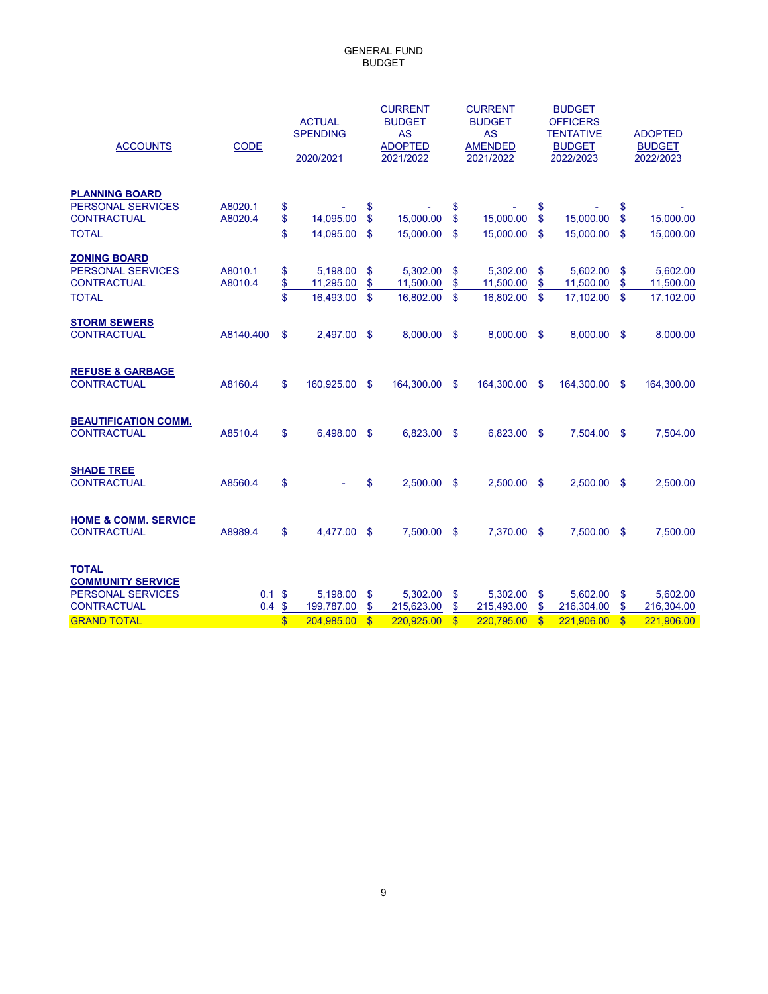| <b>ACCOUNTS</b>                                                                                           | <b>CODE</b>        |                           | <b>ACTUAL</b><br><b>SPENDING</b><br>2020/2021 |                          | <b>CURRENT</b><br><b>BUDGET</b><br><b>AS</b><br><b>ADOPTED</b><br>2021/2022 |                           | <b>CURRENT</b><br><b>BUDGET</b><br><b>AS</b><br><b>AMENDED</b><br>2021/2022 |                          | <b>BUDGET</b><br><b>OFFICERS</b><br><b>TENTATIVE</b><br><b>BUDGET</b><br>2022/2023 |                          | <b>ADOPTED</b><br><b>BUDGET</b><br>2022/2023 |
|-----------------------------------------------------------------------------------------------------------|--------------------|---------------------------|-----------------------------------------------|--------------------------|-----------------------------------------------------------------------------|---------------------------|-----------------------------------------------------------------------------|--------------------------|------------------------------------------------------------------------------------|--------------------------|----------------------------------------------|
| <b>PLANNING BOARD</b><br><b>PERSONAL SERVICES</b><br><b>CONTRACTUAL</b><br><b>TOTAL</b>                   | A8020.1<br>A8020.4 | \$<br>\$<br>\$            | 14,095.00<br>14.095.00                        | \$<br>\$<br>$\mathbf{s}$ | 15,000.00<br>15.000.00                                                      | \$<br>\$<br>$\mathbf S$   | 15,000.00<br>15.000.00                                                      | \$<br>\$<br>\$           | 15,000.00<br>15.000.00                                                             | \$<br>\$<br>$\mathbf{s}$ | 15,000.00<br>15,000.00                       |
| <b>ZONING BOARD</b><br><b>PERSONAL SERVICES</b><br><b>CONTRACTUAL</b><br><b>TOTAL</b>                     | A8010.1<br>A8010.4 | \$<br>$\frac{1}{2}$<br>\$ | 5,198.00<br>11,295.00<br>16,493.00            | \$<br>\$<br>$\mathbf{s}$ | 5,302.00<br>11,500.00<br>16,802.00                                          | \$<br>\$<br>\$            | 5,302.00<br>11,500.00<br>16,802.00                                          | \$<br>\$<br>$\mathbf{s}$ | 5,602.00<br>11,500.00<br>17,102.00                                                 | \$<br>\$<br>\$           | 5,602.00<br>11,500.00<br>17,102.00           |
| <b>STORM SEWERS</b><br><b>CONTRACTUAL</b>                                                                 | A8140.400          | $\mathbf s$               | 2,497.00                                      | - \$                     | 8,000.00                                                                    | $\mathbf s$               | 8,000.00                                                                    | - \$                     | 8,000.00                                                                           | <b>S</b>                 | 8,000.00                                     |
| <b>REFUSE &amp; GARBAGE</b><br><b>CONTRACTUAL</b>                                                         | A8160.4            | \$                        | 160,925.00                                    | $\mathbf{s}$             | 164,300.00                                                                  | $\mathbf{\$}$             | 164,300.00                                                                  | \$                       | 164,300.00                                                                         | -S                       | 164,300.00                                   |
| <b>BEAUTIFICATION COMM.</b><br><b>CONTRACTUAL</b>                                                         | A8510.4            | \$                        | 6,498.00                                      | $\mathbf{s}$             | 6,823.00                                                                    | - \$                      | 6,823.00                                                                    | \$                       | 7,504.00                                                                           | - \$                     | 7,504.00                                     |
| <b>SHADE TREE</b><br><b>CONTRACTUAL</b>                                                                   | A8560.4            | \$                        |                                               | \$                       | 2,500.00                                                                    | $\mathbf{\$}$             | 2,500.00                                                                    | \$                       | 2,500.00                                                                           | \$                       | 2,500.00                                     |
| <b>HOME &amp; COMM. SERVICE</b><br><b>CONTRACTUAL</b>                                                     | A8989.4            | \$                        | 4,477.00                                      | $\mathbf{\$}$            | 7,500.00                                                                    | - \$                      | 7,370.00                                                                    | \$                       | 7,500.00                                                                           | - \$                     | 7,500.00                                     |
| <b>TOTAL</b><br><b>COMMUNITY SERVICE</b><br>PERSONAL SERVICES<br><b>CONTRACTUAL</b><br><b>GRAND TOTAL</b> | 0.1 S<br>0.4       | - \$<br>$\mathbf{\$}$     | 5,198.00<br>199,787.00<br>204,985.00          | \$<br>\$<br>$\mathbf{s}$ | 5,302.00<br>215,623.00<br>220.925.00                                        | \$<br>\$<br>$\mathbf{\$}$ | 5,302.00<br>215,493.00<br>220,795.00                                        | \$<br>\$<br>$\mathbf{s}$ | 5,602.00<br>216,304.00<br>221,906.00                                               | \$<br>\$<br>$\mathbf{s}$ | 5,602.00<br>216,304.00<br>221,906.00         |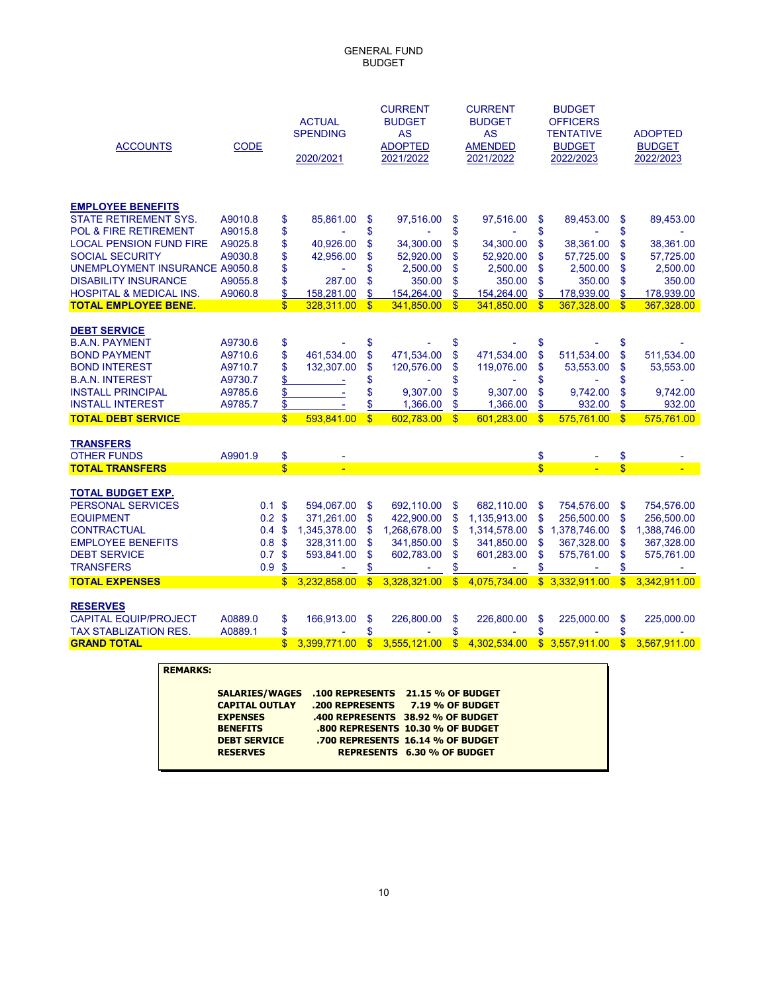| <b>ACCOUNTS</b>                                                                                                                                                                                                                                                        | <b>CODE</b>                                                    |                                                                                                    | <b>ACTUAL</b><br><b>SPENDING</b><br>2020/2021                        |                                        | <b>CURRENT</b><br><b>BUDGET</b><br><b>AS</b><br><b>ADOPTED</b><br>2021/2022 |                                        | <b>CURRENT</b><br><b>BUDGET</b><br><b>AS</b><br><b>AMENDED</b><br>2021/2022 |                                        | <b>BUDGET</b><br><b>OFFICERS</b><br><b>TENTATIVE</b><br><b>BUDGET</b><br>2022/2023 |                                        | <b>ADOPTED</b><br><b>BUDGET</b><br>2022/2023                            |
|------------------------------------------------------------------------------------------------------------------------------------------------------------------------------------------------------------------------------------------------------------------------|----------------------------------------------------------------|----------------------------------------------------------------------------------------------------|----------------------------------------------------------------------|----------------------------------------|-----------------------------------------------------------------------------|----------------------------------------|-----------------------------------------------------------------------------|----------------------------------------|------------------------------------------------------------------------------------|----------------------------------------|-------------------------------------------------------------------------|
| <b>EMPLOYEE BENEFITS</b><br><b>STATE RETIREMENT SYS.</b><br><b>POL &amp; FIRE RETIREMENT</b><br><b>LOCAL PENSION FUND FIRE</b><br><b>SOCIAL SECURITY</b><br><b>UNEMPLOYMENT INSURANCE A9050.8</b><br><b>DISABILITY INSURANCE</b><br><b>HOSPITAL &amp; MEDICAL INS.</b> | A9010.8<br>A9015.8<br>A9025.8<br>A9030.8<br>A9055.8<br>A9060.8 | \$<br>\$<br>\$<br>\$<br>\$<br>\$<br>\$                                                             | 85,861.00<br>40,926.00<br>42,956.00<br>287.00<br>158,281.00          | \$<br>\$<br>\$<br>\$<br>\$<br>\$<br>\$ | 97,516.00<br>34,300.00<br>52,920.00<br>2,500.00<br>350.00<br>154,264.00     | \$<br>\$<br>\$<br>\$<br>\$<br>\$<br>\$ | 97,516.00<br>34,300.00<br>52,920.00<br>2,500.00<br>350.00<br>154,264.00     | \$<br>\$<br>\$<br>\$<br>\$<br>\$<br>\$ | 89,453.00<br>38,361.00<br>57,725.00<br>2,500.00<br>350.00<br>178,939.00            | \$<br>\$<br>\$<br>\$<br>\$<br>\$<br>\$ | 89,453.00<br>38,361.00<br>57,725.00<br>2,500.00<br>350.00<br>178,939.00 |
| <b>TOTAL EMPLOYEE BENE.</b>                                                                                                                                                                                                                                            |                                                                | $\overline{\mathbb{S}}$                                                                            | 328,311.00                                                           | $\mathbf{s}$                           | 341,850.00                                                                  | $\sqrt{3}$                             | 341,850.00                                                                  | $\mathbf{\$}$                          | 367,328.00                                                                         | $\mathbf{\$}$                          | 367,328.00                                                              |
| <b>DEBT SERVICE</b><br><b>B.A.N. PAYMENT</b><br><b>BOND PAYMENT</b><br><b>BOND INTEREST</b><br><b>B.A.N. INTEREST</b><br><b>INSTALL PRINCIPAL</b><br><b>INSTALL INTEREST</b>                                                                                           | A9730.6<br>A9710.6<br>A9710.7<br>A9730.7<br>A9785.6<br>A9785.7 | \$<br>\$<br>\$<br>\$<br>\$<br>\$                                                                   | 461,534.00<br>132,307.00<br>Ŀ,<br>÷,<br>÷,                           | \$<br>\$<br>\$<br>\$<br>\$<br>\$       | 471,534.00<br>120,576.00<br>9,307.00<br>1,366.00                            | \$<br>\$<br>\$<br>\$<br>\$<br>\$       | 471,534.00<br>119,076.00<br>9,307.00<br>1,366.00                            | \$<br>\$<br>\$<br>\$<br>\$<br>\$       | 511,534.00<br>53,553.00<br>9.742.00<br>932.00                                      | \$<br>\$<br>\$<br>\$<br>\$<br>\$       | 511,534.00<br>53,553.00<br>9,742.00<br>932.00                           |
| <b>TOTAL DEBT SERVICE</b>                                                                                                                                                                                                                                              |                                                                | $\overline{\mathbb{S}}$                                                                            | 593,841.00                                                           | $\mathbf{\$}$                          | 602,783.00                                                                  | $\mathbf{s}$                           | 601,283.00                                                                  | $\overline{\mathbb{S}}$                | 575,761.00                                                                         | $\mathsf{\$}$                          | 575,761.00                                                              |
| <b>TRANSFERS</b><br><b>OTHER FUNDS</b><br><b>TOTAL TRANSFERS</b>                                                                                                                                                                                                       | A9901.9                                                        | \$<br>$\overline{\mathbb{S}}$                                                                      | ÷                                                                    |                                        |                                                                             |                                        |                                                                             | \$<br>$\overline{\mathbb{S}}$          | ÷                                                                                  | \$<br>$\overline{\mathbb{S}}$          |                                                                         |
| <b>TOTAL BUDGET EXP.</b><br><b>PERSONAL SERVICES</b><br><b>EQUIPMENT</b><br><b>CONTRACTUAL</b><br><b>EMPLOYEE BENEFITS</b><br><b>DEBT SERVICE</b><br><b>TRANSFERS</b>                                                                                                  | 0.1<br>0.2<br>0.4<br>0.8<br>0.7<br>0.9                         | $\mathbf{\$}$<br>-\$<br>$\mathbf{s}$<br>$\mathbf{\$}$<br>$\mathbf{s}$<br>$\boldsymbol{\mathsf{s}}$ | 594,067.00<br>371,261.00<br>1,345,378.00<br>328,311.00<br>593,841.00 | \$<br>\$<br>\$<br>\$<br>\$<br>\$       | 692,110.00<br>422,900.00<br>1,268,678.00<br>341,850.00<br>602,783.00        | \$<br>\$<br>\$<br>\$<br>\$<br>\$       | 682,110.00<br>1,135,913.00<br>1,314,578.00<br>341,850.00<br>601,283.00      | \$<br>\$<br>\$<br>\$<br>\$<br>\$       | 754,576.00<br>256,500.00<br>1,378,746.00<br>367,328.00<br>575,761.00               | \$<br>\$<br>\$<br>\$<br>\$<br>\$       | 754,576.00<br>256,500.00<br>1,388,746.00<br>367,328.00<br>575,761.00    |
| <b>TOTAL EXPENSES</b>                                                                                                                                                                                                                                                  |                                                                | $\mathbf{s}$                                                                                       | 3,232,858.00                                                         | $\mathbf{s}$                           | 3,328,321.00                                                                | S                                      | 4,075,734.00                                                                |                                        | \$3,332,911.00                                                                     | S                                      | 3,342,911.00                                                            |
| <b>RESERVES</b><br><b>CAPITAL EQUIP/PROJECT</b><br><b>TAX STABLIZATION RES.</b>                                                                                                                                                                                        | A0889.0<br>A0889.1                                             | \$<br>\$                                                                                           | 166,913.00                                                           | \$<br>\$                               | 226,800.00                                                                  | \$<br>\$                               | 226,800.00                                                                  | \$<br>\$                               | 225,000.00                                                                         | \$<br>\$                               | 225,000.00                                                              |
| <b>GRAND TOTAL</b>                                                                                                                                                                                                                                                     |                                                                | \$                                                                                                 | 3.399.771.00                                                         | $\mathbf{s}$                           | 3,555,121.00                                                                | $\mathbf{s}$                           | 4,302,534.00                                                                |                                        | \$3,557,911.00                                                                     | $\mathbf{s}$                           | 3.567.911.00                                                            |
| <b>REMARKS:</b>                                                                                                                                                                                                                                                        |                                                                |                                                                                                    |                                                                      |                                        |                                                                             |                                        |                                                                             |                                        |                                                                                    |                                        |                                                                         |

|                       | SALARIES/WAGES .100 REPRESENTS 21.15 % OF BUDGET |
|-----------------------|--------------------------------------------------|
| <b>CAPITAL OUTLAY</b> | .200 REPRESENTS 7.19 % OF BUDGET                 |
| <b>EXPENSES</b>       | .400 REPRESENTS 38.92 % OF BUDGET                |
| <b>BENEFITS</b>       | .800 REPRESENTS 10.30 % OF BUDGET                |
| <b>DEBT SERVICE</b>   | .700 REPRESENTS 16.14 % OF BUDGET                |
| <b>RESERVES</b>       | <b>REPRESENTS 6.30 % OF BUDGET</b>               |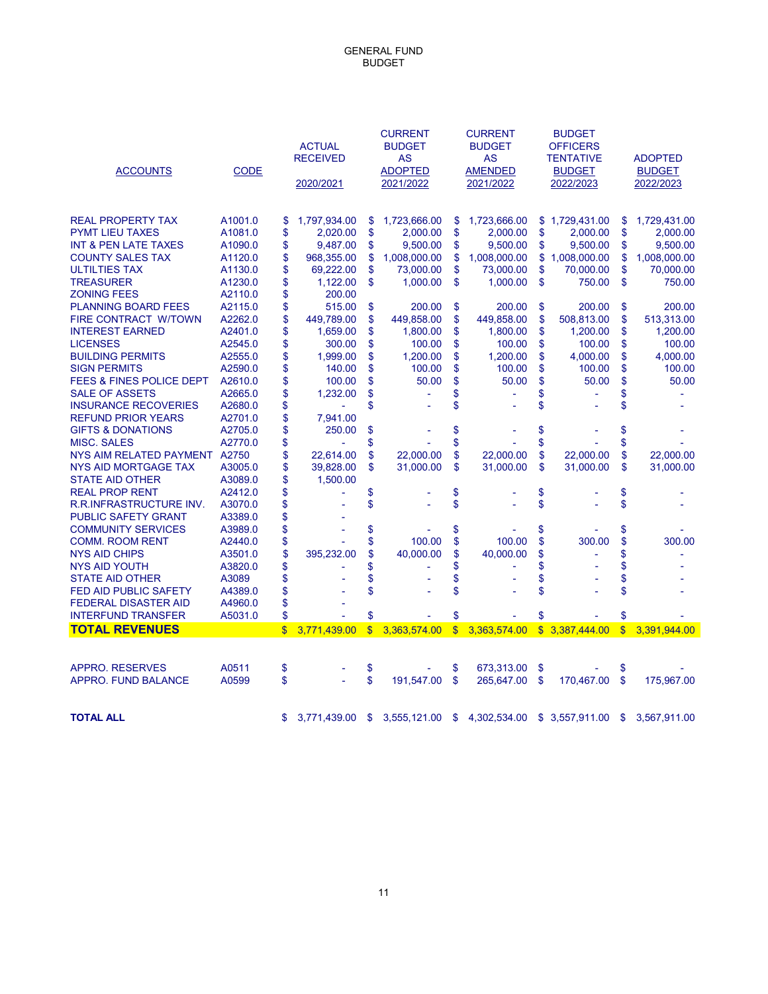| <b>ACCOUNTS</b>                     | <b>CODE</b> |              | <b>ACTUAL</b><br><b>RECEIVED</b><br>2020/2021 |              | <b>CURRENT</b><br><b>BUDGET</b><br><b>AS</b><br><b>ADOPTED</b><br>2021/2022 |             | <b>CURRENT</b><br><b>BUDGET</b><br><b>AS</b><br><b>AMENDED</b><br>2021/2022 | <b>BUDGET</b><br><b>OFFICERS</b><br><b>TENTATIVE</b><br><b>BUDGET</b><br>2022/2023 |              | <b>ADOPTED</b><br><b>BUDGET</b><br>2022/2023 |
|-------------------------------------|-------------|--------------|-----------------------------------------------|--------------|-----------------------------------------------------------------------------|-------------|-----------------------------------------------------------------------------|------------------------------------------------------------------------------------|--------------|----------------------------------------------|
| <b>REAL PROPERTY TAX</b>            | A1001.0     | \$           | 1,797,934.00                                  | \$           | 1,723,666.00                                                                | \$          | 1,723,666.00                                                                | \$1,729,431.00                                                                     | \$           | 1,729,431.00                                 |
| <b>PYMT LIEU TAXES</b>              | A1081.0     | \$           | 2,020.00                                      | \$           | 2,000.00                                                                    | \$          | 2,000.00                                                                    | \$<br>2,000.00                                                                     | \$           | 2,000.00                                     |
| <b>INT &amp; PEN LATE TAXES</b>     | A1090.0     | \$           | 9,487.00                                      | \$           | 9,500.00                                                                    | \$          | 9,500.00                                                                    | \$<br>9,500.00                                                                     | \$           | 9,500.00                                     |
| <b>COUNTY SALES TAX</b>             | A1120.0     | \$           | 968,355.00                                    | \$           | 1,008,000.00                                                                | \$          | 1,008,000.00                                                                | \$<br>1,008,000.00                                                                 | \$           | 1,008,000.00                                 |
| <b>ULTILTIES TAX</b>                | A1130.0     | \$           | 69,222.00                                     | \$           | 73,000.00                                                                   | \$          | 73,000.00                                                                   | \$<br>70,000.00                                                                    | \$           | 70,000.00                                    |
| <b>TREASURER</b>                    | A1230.0     | \$           | 1,122.00                                      | \$           | 1,000.00                                                                    | \$          | 1,000.00                                                                    | \$<br>750.00                                                                       | \$           | 750.00                                       |
| <b>ZONING FEES</b>                  | A2110.0     | \$           | 200.00                                        |              |                                                                             |             |                                                                             |                                                                                    |              |                                              |
| <b>PLANNING BOARD FEES</b>          | A2115.0     | \$           | 515.00                                        | \$           | 200.00                                                                      | \$          | 200.00                                                                      | \$<br>200.00                                                                       | \$           | 200.00                                       |
| FIRE CONTRACT W/TOWN                | A2262.0     | \$           | 449,789.00                                    | \$           | 449,858.00                                                                  | \$          | 449,858.00                                                                  | \$<br>508,813.00                                                                   | \$           | 513,313.00                                   |
| <b>INTEREST EARNED</b>              | A2401.0     | \$           | 1.659.00                                      | \$           | 1.800.00                                                                    | \$          | 1,800.00                                                                    | \$<br>1.200.00                                                                     | \$           | 1,200.00                                     |
| <b>LICENSES</b>                     | A2545.0     | \$           | 300.00                                        | \$           | 100.00                                                                      | \$          | 100.00                                                                      | \$<br>100.00                                                                       | \$           | 100.00                                       |
| <b>BUILDING PERMITS</b>             | A2555.0     | \$           | 1,999.00                                      | \$           | 1,200.00                                                                    | \$          | 1,200.00                                                                    | \$<br>4,000.00                                                                     | \$           | 4,000.00                                     |
| <b>SIGN PERMITS</b>                 | A2590.0     | \$           | 140.00                                        | \$           | 100.00                                                                      | \$          | 100.00                                                                      | \$<br>100.00                                                                       | \$           | 100.00                                       |
| <b>FEES &amp; FINES POLICE DEPT</b> | A2610.0     | \$           | 100.00                                        | \$           | 50.00                                                                       | \$          | 50.00                                                                       | \$<br>50.00                                                                        | \$           | 50.00                                        |
| <b>SALE OF ASSETS</b>               | A2665.0     | \$           | 1,232.00                                      | \$           |                                                                             | \$          |                                                                             | \$                                                                                 | \$           |                                              |
| <b>INSURANCE RECOVERIES</b>         | A2680.0     | \$           |                                               | \$           |                                                                             | \$          |                                                                             | \$                                                                                 | \$           |                                              |
| <b>REFUND PRIOR YEARS</b>           | A2701.0     | \$           | 7,941.00                                      |              |                                                                             |             |                                                                             |                                                                                    |              |                                              |
| <b>GIFTS &amp; DONATIONS</b>        | A2705.0     | \$           | 250.00                                        | \$           |                                                                             | \$          |                                                                             | \$                                                                                 | \$           |                                              |
| <b>MISC. SALES</b>                  | A2770.0     | \$           |                                               | \$           |                                                                             | \$          |                                                                             | \$                                                                                 | \$           |                                              |
| NYS AIM RELATED PAYMENT             | A2750       | \$           | 22,614.00                                     | \$           | 22.000.00                                                                   | \$          | 22,000.00                                                                   | \$<br>22,000.00                                                                    | \$           | 22,000.00                                    |
| <b>NYS AID MORTGAGE TAX</b>         | A3005.0     | \$           | 39,828.00                                     | \$           | 31,000.00                                                                   | \$          | 31,000.00                                                                   | \$<br>31,000.00                                                                    | \$           | 31,000.00                                    |
| <b>STATE AID OTHER</b>              | A3089.0     | \$           | 1,500.00                                      |              |                                                                             |             |                                                                             |                                                                                    |              |                                              |
| <b>REAL PROP RENT</b>               | A2412.0     | \$           |                                               | \$           |                                                                             | \$          |                                                                             | \$                                                                                 | \$           |                                              |
| R.R.INFRASTRUCTURE INV.             | A3070.0     | \$           |                                               | \$           |                                                                             | \$          |                                                                             | \$                                                                                 | \$           |                                              |
| <b>PUBLIC SAFETY GRANT</b>          | A3389.0     | \$           |                                               |              |                                                                             |             |                                                                             |                                                                                    |              |                                              |
| <b>COMMUNITY SERVICES</b>           | A3989.0     | \$           |                                               | \$           |                                                                             | \$          |                                                                             | \$                                                                                 | \$           |                                              |
| <b>COMM. ROOM RENT</b>              | A2440.0     | \$           |                                               | \$           | 100.00                                                                      | \$          | 100.00                                                                      | \$<br>300.00                                                                       | \$           | 300.00                                       |
| <b>NYS AID CHIPS</b>                | A3501.0     | \$           | 395,232.00                                    | \$           | 40,000.00                                                                   | \$          | 40,000.00                                                                   | \$                                                                                 | \$           |                                              |
| <b>NYS AID YOUTH</b>                | A3820.0     | \$           |                                               | \$           |                                                                             | \$          |                                                                             | \$                                                                                 | \$           |                                              |
| <b>STATE AID OTHER</b>              | A3089       | \$           |                                               | \$           | ٠                                                                           | \$          |                                                                             | \$                                                                                 | \$           |                                              |
| <b>FED AID PUBLIC SAFETY</b>        | A4389.0     | \$           |                                               | \$           |                                                                             | \$          |                                                                             | \$                                                                                 | \$           |                                              |
| <b>FEDERAL DISASTER AID</b>         | A4960.0     | \$           |                                               |              |                                                                             |             |                                                                             |                                                                                    |              |                                              |
| <b>INTERFUND TRANSFER</b>           | A5031.0     | \$           |                                               | \$           |                                                                             | \$          |                                                                             | \$                                                                                 | \$           |                                              |
| <b>TOTAL REVENUES</b>               |             | $\mathbf{s}$ | 3,771,439.00                                  | $\mathbf{s}$ | 3,363,574.00                                                                | S           | 3,363,574.00                                                                | \$3,387,444.00                                                                     | S            | 3,391,944.00                                 |
|                                     |             |              |                                               |              |                                                                             |             |                                                                             |                                                                                    |              |                                              |
|                                     |             |              |                                               |              |                                                                             |             |                                                                             |                                                                                    |              |                                              |
| <b>APPRO. RESERVES</b>              | A0511       | \$           |                                               | \$           |                                                                             | \$          | 673,313.00                                                                  | \$                                                                                 | \$           |                                              |
| APPRO. FUND BALANCE                 | A0599       | \$           |                                               | \$           | 191,547.00                                                                  | $\mathbf s$ | 265,647.00                                                                  | \$<br>170,467.00                                                                   | $\mathbf{s}$ | 175,967.00                                   |
|                                     |             |              |                                               |              |                                                                             |             |                                                                             |                                                                                    |              |                                              |
| <b>TOTAL ALL</b>                    |             | \$.          | 3,771,439.00 \$                               |              | 3,555,121.00                                                                | \$          | 4,302,534.00 \$ 3,557,911.00 \$ 3,567,911.00                                |                                                                                    |              |                                              |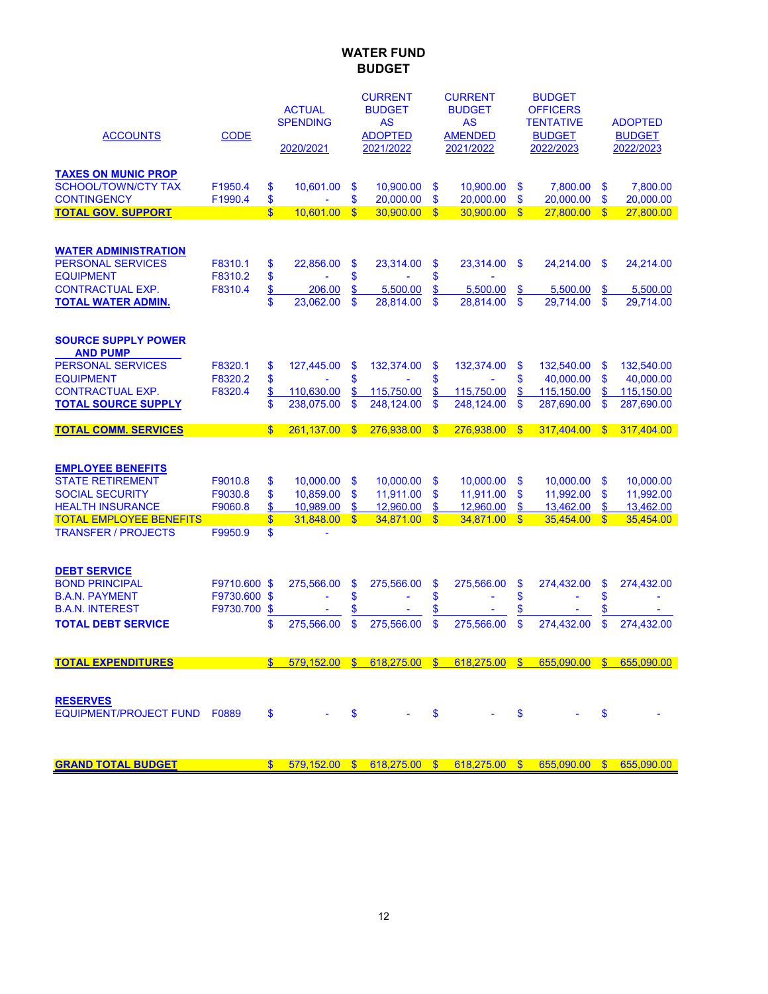### **WATER FUND BUDGET**

| <b>ACCOUNTS</b>                                                                                                                                                          | <b>CODE</b>                               |                                           | <b>ACTUAL</b><br><b>SPENDING</b><br>2020/2021    |                                           | <b>CURRENT</b><br><b>BUDGET</b><br>AS<br><b>ADOPTED</b><br>2021/2022 |                                           | <b>CURRENT</b><br><b>BUDGET</b><br><b>AS</b><br><b>AMENDED</b><br>2021/2022 |                                     | <b>BUDGET</b><br><b>OFFICERS</b><br><b>TENTATIVE</b><br><b>BUDGET</b><br>2022/2023 |                                 | <b>ADOPTED</b><br><b>BUDGET</b><br>2022/2023        |
|--------------------------------------------------------------------------------------------------------------------------------------------------------------------------|-------------------------------------------|-------------------------------------------|--------------------------------------------------|-------------------------------------------|----------------------------------------------------------------------|-------------------------------------------|-----------------------------------------------------------------------------|-------------------------------------|------------------------------------------------------------------------------------|---------------------------------|-----------------------------------------------------|
| <b>TAXES ON MUNIC PROP</b><br><b>SCHOOL/TOWN/CTY TAX</b><br><b>CONTINGENCY</b>                                                                                           | F1950.4<br>F1990.4                        | \$<br>\$                                  | 10,601.00                                        | \$<br>\$                                  | 10,900.00<br>20,000.00                                               | \$<br>\$                                  | 10,900.00<br>20,000.00                                                      | \$<br>\$                            | 7,800.00<br>20,000.00                                                              | \$<br>\$                        | 7,800.00<br>20,000.00                               |
| <b>TOTAL GOV. SUPPORT</b>                                                                                                                                                |                                           | $\mathbf{s}$                              | 10,601.00                                        | $\mathbf{s}$                              | 30,900.00                                                            | $\mathbf{s}$                              | 30,900.00                                                                   | $\mathbf{s}$                        | 27,800.00                                                                          | $\mathbf{s}$                    | 27,800.00                                           |
| <b>WATER ADMINISTRATION</b><br><b>PERSONAL SERVICES</b><br><b>EQUIPMENT</b><br><b>CONTRACTUAL EXP.</b><br><b>TOTAL WATER ADMIN.</b>                                      | F8310.1<br>F8310.2<br>F8310.4             | \$<br>\$<br>$\frac{1}{2}$<br>\$           | 22,856.00<br>u,<br>206.00<br>23,062.00           | \$<br>\$<br>$\frac{1}{2}$<br>\$           | 23,314.00<br>5,500.00<br>28,814.00                                   | \$<br>\$<br>\$<br>\$                      | 23,314.00<br>5,500.00<br>28,814.00                                          | $\mathbf{\$}$<br>\$<br>$\mathbf{s}$ | 24,214.00<br>5,500.00<br>29,714.00                                                 | \$<br>\$<br>\$                  | 24,214.00<br>5,500.00<br>29,714.00                  |
| <b>SOURCE SUPPLY POWER</b><br><b>AND PUMP</b><br><b>PERSONAL SERVICES</b><br><b>EQUIPMENT</b><br><b>CONTRACTUAL EXP.</b><br><b>TOTAL SOURCE SUPPLY</b>                   | F8320.1<br>F8320.2<br>F8320.4             | \$<br>\$<br>$\frac{1}{2}$<br>\$           | 127,445.00<br>110,630.00<br>238,075.00           | \$<br>\$<br>\$<br>\$                      | 132,374.00<br>115,750.00<br>248,124.00                               | \$<br>\$<br>\$<br>\$                      | 132,374.00<br>115,750.00<br>248,124.00                                      | \$<br>\$<br>\$<br>\$                | 132,540.00<br>40,000.00<br>115,150.00<br>287,690.00                                | \$<br>\$<br>\$<br>$\mathbf{\$}$ | 132,540.00<br>40,000.00<br>115,150.00<br>287,690.00 |
| <b>TOTAL COMM. SERVICES</b>                                                                                                                                              |                                           | $\mathbf{s}$                              | 261,137.00                                       | $\mathbf{s}$                              | 276,938.00                                                           | $\mathbf{s}$                              | 276,938.00                                                                  | $\mathbf{s}$                        | 317,404.00                                                                         | $\mathbf{s}$                    | 317,404.00                                          |
| <b>EMPLOYEE BENEFITS</b><br><b>STATE RETIREMENT</b><br><b>SOCIAL SECURITY</b><br><b>HEALTH INSURANCE</b><br><b>TOTAL EMPLOYEE BENEFITS</b><br><b>TRANSFER / PROJECTS</b> | F9010.8<br>F9030.8<br>F9060.8<br>F9950.9  | \$<br>\$<br>\$<br>$\boldsymbol{\$}$<br>\$ | 10,000.00<br>10,859.00<br>10,989.00<br>31,848.00 | \$<br>$\mathbf{\$}$<br>\$<br>$\mathbf{s}$ | 10,000.00<br>11,911.00<br>12,960.00<br>34,871.00                     | $\mathbf{\$}$<br>\$<br>\$<br>$\mathbf{s}$ | 10,000.00<br>11,911.00<br>12,960.00<br>34,871.00                            | \$<br>\$<br>\$<br>$\mathbf{s}$      | 10,000.00<br>11,992.00<br>13,462.00<br>35,454.00                                   | \$<br>\$<br>\$<br>$\mathbf{s}$  | 10,000.00<br>11,992.00<br>13,462.00<br>35,454.00    |
| <b>DEBT SERVICE</b><br><b>BOND PRINCIPAL</b><br><b>B.A.N. PAYMENT</b><br><b>B.A.N. INTEREST</b><br><b>TOTAL DEBT SERVICE</b>                                             | F9710.600 \$<br>F9730.600 \$<br>F9730.700 | \$<br>\$                                  | 275,566.00<br>۰<br>$\sim$<br>275,566.00          | \$<br>\$<br>\$<br>\$                      | 275,566.00<br>275,566.00                                             | \$<br>\$<br>\$<br>\$                      | 275,566.00<br>275,566.00                                                    | \$<br>\$<br>\$<br>$\boldsymbol{\$}$ | 274,432.00<br>۰<br>$\overline{\phantom{a}}$<br>274,432.00                          | \$<br>\$<br>\$<br>$\mathbf{s}$  | 274,432.00<br>274,432.00                            |
| <b>TOTAL EXPENDITURES</b>                                                                                                                                                |                                           |                                           |                                                  |                                           |                                                                      |                                           | \$ 579,152.00 \$ 618,275.00 \$ 618,275.00 \$ 655,090.00 \$ 655,090.00       |                                     |                                                                                    |                                 |                                                     |
| <b>RESERVES</b><br>EQUIPMENT/PROJECT FUND F0889                                                                                                                          |                                           | $\mathbf{\$}$                             |                                                  | \$                                        |                                                                      | \$                                        |                                                                             | \$                                  |                                                                                    | \$                              |                                                     |
| <b>GRAND TOTAL BUDGET</b>                                                                                                                                                |                                           | S                                         |                                                  |                                           | 579,152.00 \$ 618,275.00 \$                                          |                                           | 618,275.00 \$                                                               |                                     | 655,090.00 \$                                                                      |                                 | 655,090.00                                          |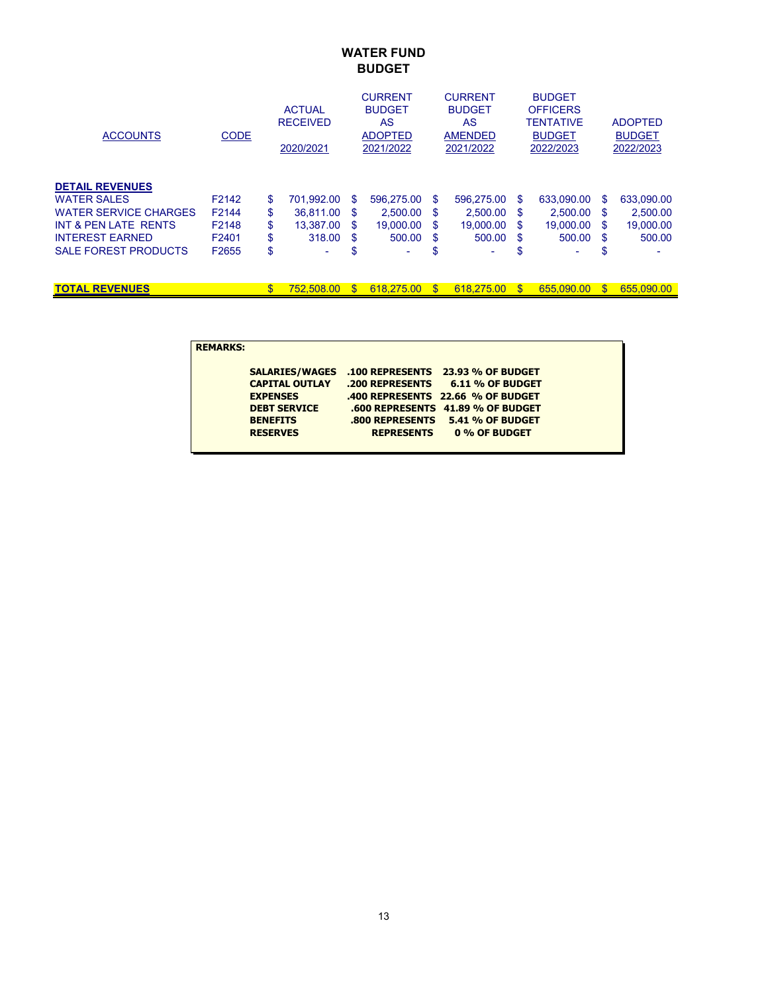### **WATER FUND BUDGET**

|                              |             |                  |              | <b>CURRENT</b> |              | <b>CURRENT</b> |              | <b>BUDGET</b>    |              |                |
|------------------------------|-------------|------------------|--------------|----------------|--------------|----------------|--------------|------------------|--------------|----------------|
|                              |             | <b>ACTUAL</b>    |              | <b>BUDGET</b>  |              | <b>BUDGET</b>  |              | <b>OFFICERS</b>  |              |                |
|                              |             | <b>RECEIVED</b>  |              | AS             |              | AS             |              | <b>TENTATIVE</b> |              | <b>ADOPTED</b> |
| <b>ACCOUNTS</b>              | <b>CODE</b> |                  |              | <b>ADOPTED</b> |              | <b>AMENDED</b> |              | <b>BUDGET</b>    |              | <b>BUDGET</b>  |
|                              |             | 2020/2021        |              | 2021/2022      |              | 2021/2022      |              | 2022/2023        |              | 2022/2023      |
|                              |             |                  |              |                |              |                |              |                  |              |                |
|                              |             |                  |              |                |              |                |              |                  |              |                |
| <b>DETAIL REVENUES</b>       |             |                  |              |                |              |                |              |                  |              |                |
| <b>WATER SALES</b>           | F2142       | \$<br>701.992.00 | S            | 596.275.00     | \$.          | 596.275.00     | S            | 633.090.00       | \$.          | 633,090.00     |
| <b>WATER SERVICE CHARGES</b> | F2144       | \$<br>36.811.00  | -S           | 2.500.00       | S            | 2.500.00       | S            | 2.500.00         | \$.          | 2,500.00       |
| INT & PEN LATE RENTS         | F2148       | \$<br>13,387.00  | -S           | 19,000.00      | <b>S</b>     | 19,000.00      | S            | 19,000.00        | S            | 19,000.00      |
| <b>INTEREST EARNED</b>       | F2401       | \$<br>318.00     | - \$         | 500.00         | -S           | $500.00$ \$    |              | 500.00           | -S           | 500.00         |
| <b>SALE FOREST PRODUCTS</b>  | F2655       | \$<br>۰          | S            | ۰              | S            |                | \$           |                  | S            |                |
|                              |             |                  |              |                |              |                |              |                  |              |                |
|                              |             |                  |              |                |              |                |              |                  |              |                |
| <b>TOTAL REVENUES</b>        |             | \$<br>752.508.00 | $\mathbf{s}$ | 618.275.00     | $\mathbf{s}$ | 618.275.00     | $\mathbf{s}$ | 655.090.00       | $\mathbf{s}$ | 655.090.00     |

| <b>REMARKS:</b> |                       |                   |                                                  |  |
|-----------------|-----------------------|-------------------|--------------------------------------------------|--|
|                 |                       |                   | SALARIES/WAGES .100 REPRESENTS 23.93 % OF BUDGET |  |
|                 | <b>CAPITAL OUTLAY</b> |                   | .200 REPRESENTS 6.11 % OF BUDGET                 |  |
|                 | <b>EXPENSES</b>       |                   | .400 REPRESENTS 22.66 % OF BUDGET                |  |
|                 | <b>DEBT SERVICE</b>   |                   | .600 REPRESENTS 41.89 % OF BUDGET                |  |
|                 | <b>BENEFITS</b>       |                   | .800 REPRESENTS 5.41 % OF BUDGET                 |  |
|                 | <b>RESERVES</b>       | <b>REPRESENTS</b> | 0 % OF BUDGET                                    |  |
|                 |                       |                   |                                                  |  |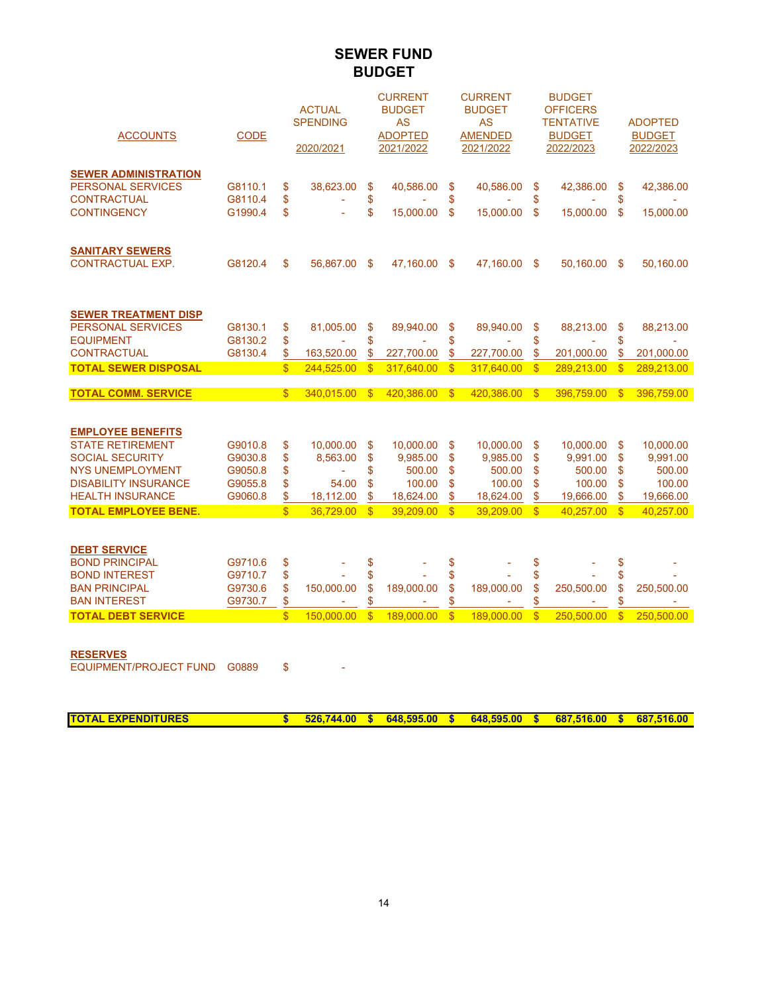### **SEWER FUND BUDGET**

| <b>ACCOUNTS</b>                                                                                                                                                    | <b>CODE</b>                                         |                            | <b>ACTUAL</b><br><b>SPENDING</b><br>2020/2021 |                            | <b>CURRENT</b><br><b>BUDGET</b><br><b>AS</b><br><b>ADOPTED</b><br>2021/2022 |                            | <b>CURRENT</b><br><b>BUDGET</b><br><b>AS</b><br><b>AMENDED</b><br>2021/2022 |                            | <b>BUDGET</b><br><b>OFFICERS</b><br><b>TENTATIVE</b><br><b>BUDGET</b><br>2022/2023 |                            | <b>ADOPTED</b><br><b>BUDGET</b><br>2022/2023           |
|--------------------------------------------------------------------------------------------------------------------------------------------------------------------|-----------------------------------------------------|----------------------------|-----------------------------------------------|----------------------------|-----------------------------------------------------------------------------|----------------------------|-----------------------------------------------------------------------------|----------------------------|------------------------------------------------------------------------------------|----------------------------|--------------------------------------------------------|
| <b>SEWER ADMINISTRATION</b><br><b>PERSONAL SERVICES</b><br><b>CONTRACTUAL</b><br><b>CONTINGENCY</b>                                                                | G8110.1<br>G8110.4<br>G1990.4                       | \$<br>\$<br>\$             | 38.623.00                                     | \$<br>\$<br>\$             | 40,586.00<br>15,000.00                                                      | \$<br>\$<br>\$             | 40.586.00<br>15,000.00                                                      | \$<br>\$<br>\$             | 42.386.00<br>15,000.00                                                             | \$<br>\$<br>\$             | 42,386.00<br>15,000.00                                 |
| <b>SANITARY SEWERS</b><br><b>CONTRACTUAL EXP.</b>                                                                                                                  | G8120.4                                             | \$                         | 56.867.00                                     | <b>S</b>                   | 47,160.00                                                                   | -S                         | 47,160.00                                                                   | $\mathbf{s}$               | 50.160.00                                                                          | - \$                       | 50,160.00                                              |
| <b>SEWER TREATMENT DISP</b><br>PERSONAL SERVICES<br><b>EQUIPMENT</b><br><b>CONTRACTUAL</b>                                                                         | G8130.1<br>G8130.2<br>G8130.4                       | \$<br>\$<br>\$             | 81,005.00<br>163,520.00                       | \$<br>\$<br>\$             | 89,940.00<br>227,700.00                                                     | \$<br>\$<br>\$             | 89,940.00<br>227,700.00                                                     | \$<br>\$<br>\$             | 88,213.00<br>201,000.00                                                            | \$<br>\$<br>\$             | 88,213.00<br>201,000.00                                |
| <b>TOTAL SEWER DISPOSAL</b>                                                                                                                                        |                                                     | $\mathbb{S}$               | 244,525.00                                    | $\sqrt{3}$                 | 317,640.00                                                                  | $\sqrt{3}$                 | 317,640.00                                                                  | $\sqrt{3}$                 | 289,213.00                                                                         | $\sqrt{3}$                 | 289,213.00                                             |
| <b>TOTAL COMM. SERVICE</b>                                                                                                                                         |                                                     | $\mathbb{S}$               | 340,015.00                                    | $\mathbf{s}$               | 420,386.00                                                                  | $\mathbb{S}$               | 420,386.00                                                                  | $^{\circ}$                 | 396,759.00                                                                         | $\mathbf{\$}$              | 396,759.00                                             |
|                                                                                                                                                                    |                                                     |                            |                                               |                            |                                                                             |                            |                                                                             |                            |                                                                                    |                            |                                                        |
| <b>EMPLOYEE BENEFITS</b><br><b>STATE RETIREMENT</b><br><b>SOCIAL SECURITY</b><br><b>NYS UNEMPLOYMENT</b><br><b>DISABILITY INSURANCE</b><br><b>HEALTH INSURANCE</b> | G9010.8<br>G9030.8<br>G9050.8<br>G9055.8<br>G9060.8 | \$<br>\$<br>\$<br>\$<br>\$ | 10,000.00<br>8,563.00<br>54.00<br>18,112.00   | \$<br>\$<br>\$<br>\$<br>\$ | 10,000.00<br>9,985.00<br>500.00<br>100.00<br>18,624.00                      | \$<br>\$<br>\$<br>\$<br>\$ | 10,000.00<br>9,985.00<br>500.00<br>100.00<br>18,624.00                      | \$<br>\$<br>\$<br>\$<br>\$ | 10,000.00<br>9,991.00<br>500.00<br>100.00<br>19,666.00                             | \$<br>\$<br>\$<br>\$<br>\$ | 10,000.00<br>9,991.00<br>500.00<br>100.00<br>19,666.00 |
| <b>TOTAL EMPLOYEE BENE.</b>                                                                                                                                        |                                                     | $\mathbb{S}$               | 36,729.00                                     | $\mathbb{S}$               | 39,209.00                                                                   | $\overline{\mathbb{S}}$    | 39,209.00                                                                   | $\overline{\mathbb{S}}$    | 40,257.00                                                                          | $\sqrt{3}$                 | 40,257.00                                              |
| <b>DEBT SERVICE</b><br><b>BOND PRINCIPAL</b><br><b>BOND INTEREST</b><br><b>BAN PRINCIPAL</b><br><b>BAN INTEREST</b>                                                | G9710.6<br>G9710.7<br>G9730.6<br>G9730.7            | \$<br>\$<br>\$<br>\$       | 150,000.00                                    | \$<br>\$<br>\$<br>\$       | 189,000.00                                                                  | \$<br>\$<br>\$<br>\$       | 189,000.00                                                                  | \$<br>\$<br>\$<br>\$       | 250,500.00                                                                         | \$<br>\$<br>\$<br>\$       | 250,500.00                                             |
| <b>TOTAL DEBT SERVICE</b>                                                                                                                                          |                                                     | $\frac{1}{2}$              | 150,000.00                                    | $\frac{1}{2}$              | 189,000.00                                                                  | $\mathbb{S}$               | 189,000.00                                                                  | $\overline{\mathbb{S}}$    | 250,500.00                                                                         | $\frac{1}{2}$              | 250,500.00                                             |

| <b>TOTAL EXPENDITURES</b> |  |  |  | $$526.744.00$ \$ 648.595.00 \$ 648.595.00 \$ 687.516.00 \$ 687.516.00 |  |
|---------------------------|--|--|--|-----------------------------------------------------------------------|--|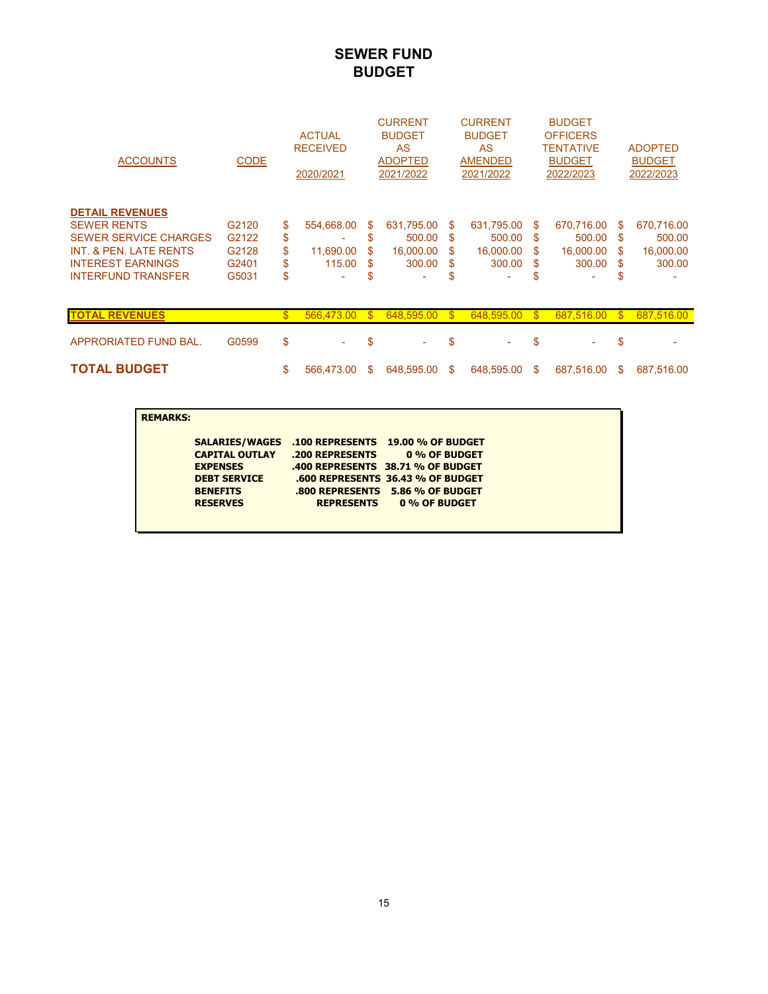### **SEWER FUND BUDGET**

| <b>ACCOUNTS</b>                                                                                                                                                 | <b>CODE</b>                               |                            | <b>ACTUAL</b><br><b>RECEIVED</b><br>2020/2021 |                        | <b>CURRENT</b><br><b>BUDGET</b><br>AS<br><b>ADOPTED</b><br>2021/2022 |                        | <b>CURRENT</b><br><b>BUDGET</b><br>AS<br><b>AMENDED</b><br>2021/2022 |                          | <b>BUDGET</b><br><b>OFFICERS</b><br>TENTATIVE<br><b>BUDGET</b><br>2022/2023 |                        | <b>ADOPTED</b><br><b>BUDGET</b><br>2022/2023 |
|-----------------------------------------------------------------------------------------------------------------------------------------------------------------|-------------------------------------------|----------------------------|-----------------------------------------------|------------------------|----------------------------------------------------------------------|------------------------|----------------------------------------------------------------------|--------------------------|-----------------------------------------------------------------------------|------------------------|----------------------------------------------|
| <b>DETAIL REVENUES</b><br><b>SEWER RENTS</b><br><b>SEWER SERVICE CHARGES</b><br>INT. & PEN. LATE RENTS<br><b>INTEREST EARNINGS</b><br><b>INTERFUND TRANSFER</b> | G2120<br>G2122<br>G2128<br>G2401<br>G5031 | \$<br>\$<br>\$<br>\$<br>\$ | 554,668.00<br>11.690.00<br>115.00             | S<br>\$<br>S<br>S<br>S | 631,795.00<br>500.00<br>16,000.00<br>300.00                          | S<br>S<br>S<br>\$<br>S | 631,795.00<br>500.00<br>16,000.00<br>300.00                          | S<br>\$.<br>S<br>S<br>\$ | 670,716.00<br>500.00<br>16,000.00<br>300.00                                 | S<br>S.<br>S<br>S<br>S | 670,716.00<br>500.00<br>16,000.00<br>300.00  |
| <b>TOTAL REVENUES</b>                                                                                                                                           |                                           | \$                         | 566,473.00                                    | \$.                    | 648.595.00                                                           | $\mathbb{S}$           | 648.595.00                                                           | $\mathbf{s}$             | 687.516.00                                                                  | $\mathbb{S}$           | 687.516.00                                   |
| APPRORIATED FUND BAL.                                                                                                                                           | G0599                                     | \$                         |                                               | \$                     |                                                                      | \$                     |                                                                      | S                        |                                                                             | \$                     |                                              |
| <b>TOTAL BUDGET</b>                                                                                                                                             |                                           | \$                         | 566,473.00                                    | S                      | 648,595.00                                                           | S                      | 648,595.00                                                           | S                        | 687,516.00                                                                  | S.                     | 687,516.00                                   |

| <b>REMARKS:</b> |                       |                 |                                                  |
|-----------------|-----------------------|-----------------|--------------------------------------------------|
|                 |                       |                 | SALARIES/WAGES .100 REPRESENTS 19.00 % OF BUDGET |
|                 | <b>CAPITAL OUTLAY</b> | .200 REPRESENTS | 0 % OF BUDGET                                    |
|                 | <b>EXPENSES</b>       |                 | .400 REPRESENTS 38.71 % OF BUDGET                |
|                 | <b>DEBT SERVICE</b>   |                 | .600 REPRESENTS 36.43 % OF BUDGET                |
|                 | <b>BENEFITS</b>       |                 | .800 REPRESENTS 5.86 % OF BUDGET                 |
|                 | <b>RESERVES</b>       |                 | <b>REPRESENTS 0 % OF BUDGET</b>                  |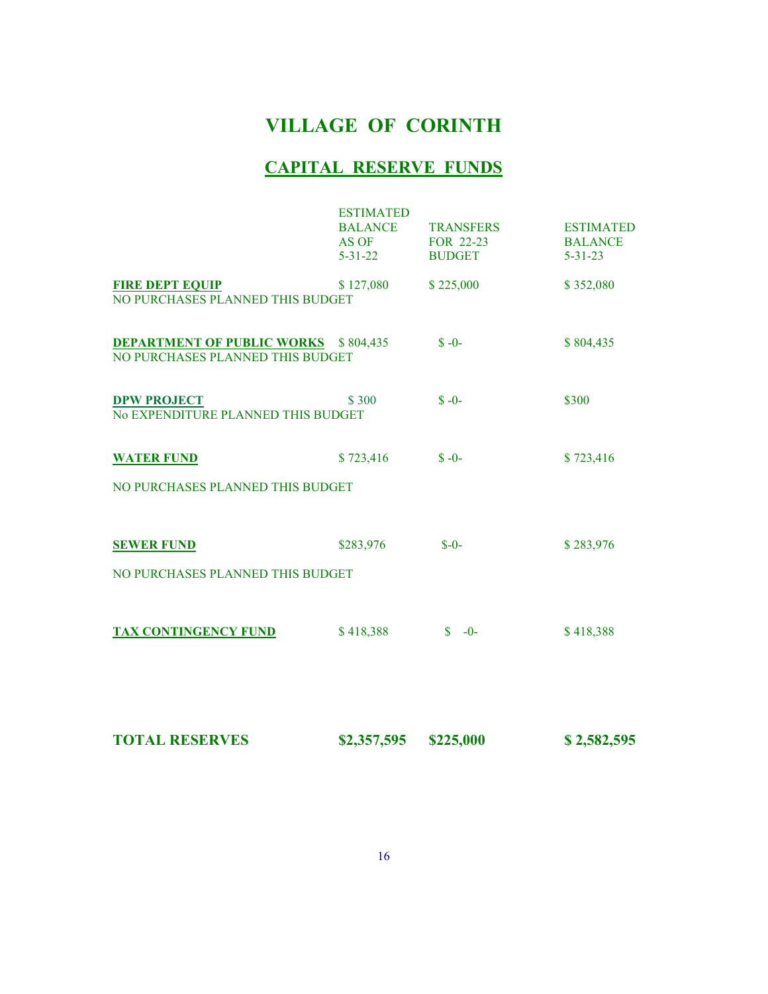# **CAPITAL RESERVE FUNDS**

|                                             | <b>ESTIMATED</b>       |                            |                                 |
|---------------------------------------------|------------------------|----------------------------|---------------------------------|
|                                             | <b>BALANCE</b>         | <b>TRANSFERS</b>           | <b>ESTIMATED</b>                |
|                                             | AS OF<br>$5 - 31 - 22$ | FOR 22-23<br><b>BUDGET</b> | <b>BALANCE</b><br>$5 - 31 - 23$ |
|                                             |                        |                            |                                 |
| <b>FIRE DEPT EQUIP</b>                      | \$127,080              | \$225,000                  | \$352,080                       |
| NO PURCHASES PLANNED THIS BUDGET            |                        |                            |                                 |
|                                             |                        |                            |                                 |
| <b>DEPARTMENT OF PUBLIC WORKS</b> \$804,435 |                        | $$ -0-$                    | \$804,435                       |
| NO PURCHASES PLANNED THIS BUDGET            |                        |                            |                                 |
|                                             |                        |                            |                                 |
| <b>DPW PROJECT</b>                          | \$300                  | $$ -0-$                    | \$300                           |
| No EXPENDITURE PLANNED THIS BUDGET          |                        |                            |                                 |
|                                             |                        |                            |                                 |
| <b>WATER FUND</b>                           | \$723,416              | $$ -0-$                    | \$723,416                       |
|                                             |                        |                            |                                 |
| NO PURCHASES PLANNED THIS BUDGET            |                        |                            |                                 |
|                                             |                        |                            |                                 |
|                                             |                        |                            |                                 |
| <b>SEWER FUND</b>                           | \$283,976              | $S - 0 -$                  | \$283,976                       |
|                                             |                        |                            |                                 |
| NO PURCHASES PLANNED THIS BUDGET            |                        |                            |                                 |
|                                             |                        |                            |                                 |
|                                             |                        |                            |                                 |
| <b>TAX CONTINGENCY FUND</b>                 | \$418,388              | $S = 0$                    | \$418,388                       |
|                                             |                        |                            |                                 |
|                                             |                        |                            |                                 |
|                                             |                        |                            |                                 |

| <b>TOTAL RESERVES</b> | $$2,357,595$ $$225,000$ |  | \$2,582,595 |
|-----------------------|-------------------------|--|-------------|
|-----------------------|-------------------------|--|-------------|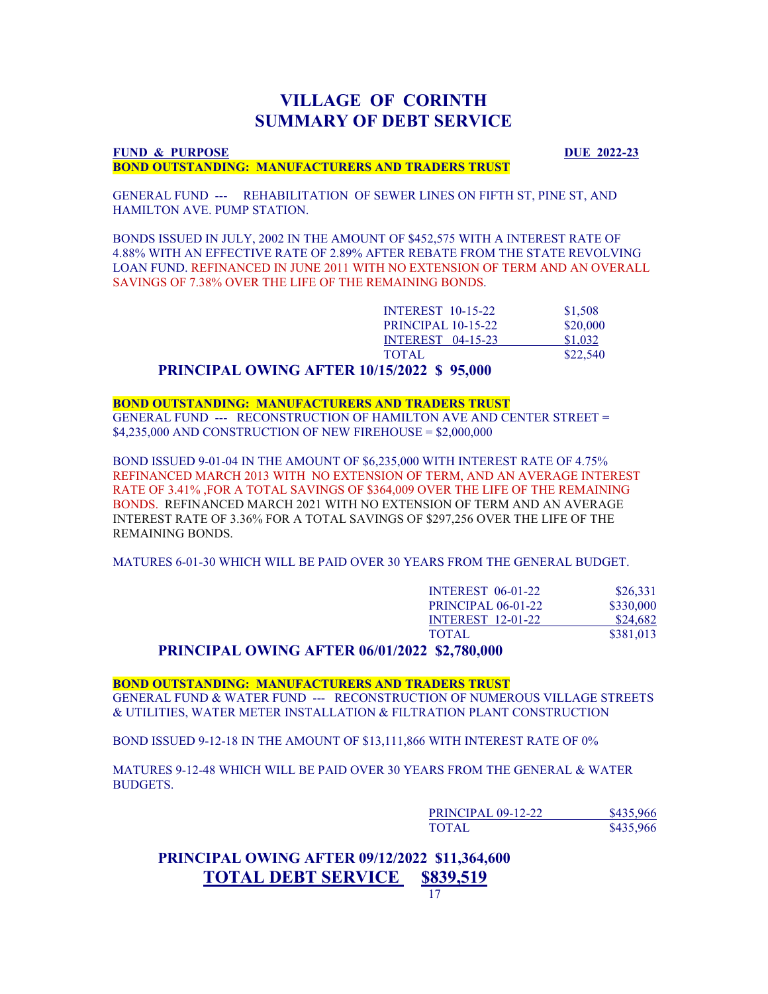### **VILLAGE OF CORINTH SUMMARY OF DEBT SERVICE**

#### **FUND & PURPOSE DUE 2022-23 BOND OUTSTANDING: MANUFACTURERS AND TRADERS TRUST**

GENERAL FUND --- REHABILITATION OF SEWER LINES ON FIFTH ST, PINE ST, AND HAMILTON AVE. PUMP STATION.

BONDS ISSUED IN JULY, 2002 IN THE AMOUNT OF \$452,575 WITH A INTEREST RATE OF 4.88% WITH AN EFFECTIVE RATE OF 2.89% AFTER REBATE FROM THE STATE REVOLVING LOAN FUND. REFINANCED IN JUNE 2011 WITH NO EXTENSION OF TERM AND AN OVERALL SAVINGS OF 7.38% OVER THE LIFE OF THE REMAINING BONDS.

| <b>INTEREST 10-15-22</b>  | \$1,508  |
|---------------------------|----------|
| <b>PRINCIPAL 10-15-22</b> | \$20,000 |
| <b>INTEREST</b> 04-15-23  | \$1,032  |
| <b>TOTAL</b>              | \$22,540 |
|                           |          |

**PRINCIPAL OWING AFTER 10/15/2022 \$ 95,000** 

#### **BOND OUTSTANDING: MANUFACTURERS AND TRADERS TRUST**

GENERAL FUND --- RECONSTRUCTION OF HAMILTON AVE AND CENTER STREET = \$4,235,000 AND CONSTRUCTION OF NEW FIREHOUSE = \$2,000,000

BOND ISSUED 9-01-04 IN THE AMOUNT OF \$6,235,000 WITH INTEREST RATE OF 4.75% REFINANCED MARCH 2013 WITH NO EXTENSION OF TERM, AND AN AVERAGE INTEREST RATE OF 3.41% ,FOR A TOTAL SAVINGS OF \$364,009 OVER THE LIFE OF THE REMAINING BONDS. REFINANCED MARCH 2021 WITH NO EXTENSION OF TERM AND AN AVERAGE INTEREST RATE OF 3.36% FOR A TOTAL SAVINGS OF \$297,256 OVER THE LIFE OF THE REMAINING BONDS.

MATURES 6-01-30 WHICH WILL BE PAID OVER 30 YEARS FROM THE GENERAL BUDGET.

| <b>INTEREST 06-01-22</b>  | \$26,331  |
|---------------------------|-----------|
| <b>PRINCIPAL 06-01-22</b> | \$330,000 |
| <b>INTEREST 12-01-22</b>  | \$24,682  |
| <b>TOTAL</b>              | \$381,013 |
|                           |           |

**PRINCIPAL OWING AFTER 06/01/2022 \$2,780,000** 

**BOND OUTSTANDING: MANUFACTURERS AND TRADERS TRUST**

GENERAL FUND & WATER FUND --- RECONSTRUCTION OF NUMEROUS VILLAGE STREETS & UTILITIES, WATER METER INSTALLATION & FILTRATION PLANT CONSTRUCTION

BOND ISSUED 9-12-18 IN THE AMOUNT OF \$13,111,866 WITH INTEREST RATE OF 0%

MATURES 9-12-48 WHICH WILL BE PAID OVER 30 YEARS FROM THE GENERAL & WATER BUDGETS.

| PRINCIPAL 09-12-22 | \$435,966 |
|--------------------|-----------|
| <b>TOTAL</b>       | \$435,966 |

**PRINCIPAL OWING AFTER 09/12/2022 \$11,364,600 TOTAL DEBT SERVICE \$839,519**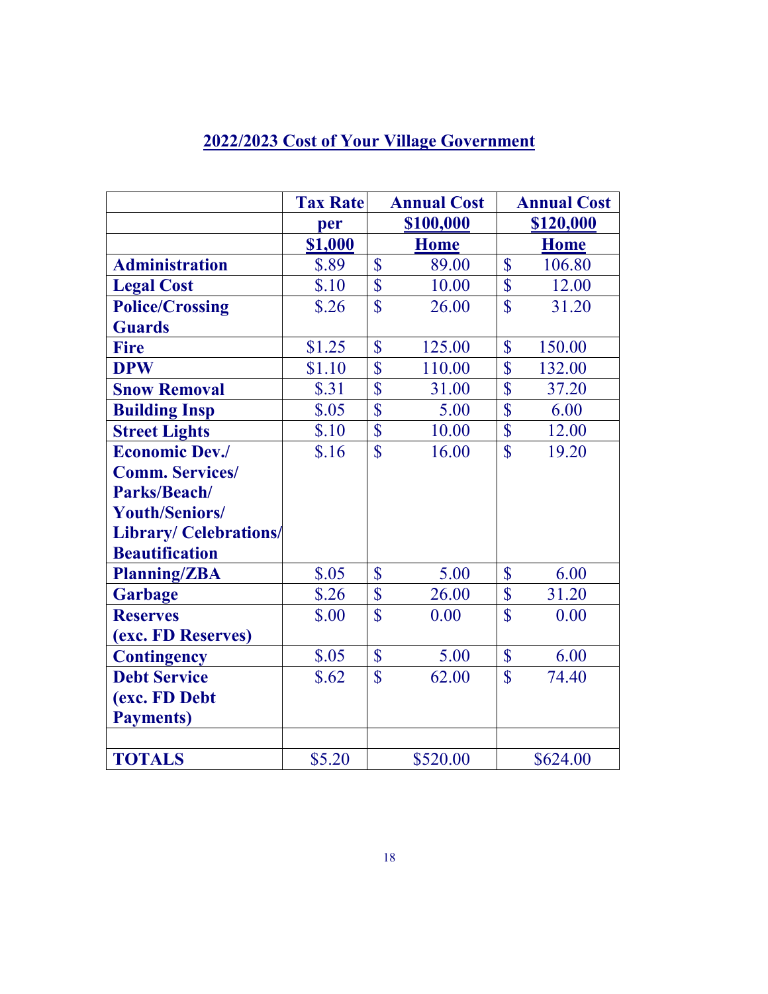|                              | <b>Tax Rate</b> |                           | <b>Annual Cost</b> |                           | <b>Annual Cost</b> |
|------------------------------|-----------------|---------------------------|--------------------|---------------------------|--------------------|
|                              | per             |                           | \$100,000          |                           | \$120,000          |
|                              | \$1,000         |                           | <b>Home</b>        |                           | <b>Home</b>        |
| <b>Administration</b>        | \$.89           | $\mathbf{\hat{S}}$        | 89.00              | $\mathsf{\$}$             | 106.80             |
| <b>Legal Cost</b>            | \$.10           | $\boldsymbol{\mathsf{S}}$ | 10.00              | $\mathsf{\$}$             | 12.00              |
| <b>Police/Crossing</b>       | \$.26           | $\overline{\mathbf{S}}$   | 26.00              | $\overline{\mathbb{S}}$   | 31.20              |
| <b>Guards</b>                |                 |                           |                    |                           |                    |
| <b>Fire</b>                  | \$1.25          | \$                        | 125.00             | $\mathbb{S}$              | 150.00             |
| <b>DPW</b>                   | \$1.10          | $\overline{\mathbb{S}}$   | 110.00             | $\overline{\mathbb{S}}$   | 132.00             |
| <b>Snow Removal</b>          | \$.31           | $\overline{\mathbb{S}}$   | 31.00              | $\boldsymbol{\mathsf{S}}$ | 37.20              |
| <b>Building Insp</b>         | \$.05           | $\boldsymbol{\S}$         | 5.00               | $\boldsymbol{\mathsf{S}}$ | 6.00               |
| <b>Street Lights</b>         | \$.10           | $\overline{\mathbb{S}}$   | 10.00              | $\overline{\mathbb{S}}$   | 12.00              |
| <b>Economic Dev./</b>        | \$.16           | $\overline{\mathbb{S}}$   | 16.00              | $\overline{\mathbb{S}}$   | 19.20              |
| <b>Comm. Services/</b>       |                 |                           |                    |                           |                    |
| Parks/Beach/                 |                 |                           |                    |                           |                    |
| <b>Youth/Seniors/</b>        |                 |                           |                    |                           |                    |
| <b>Library/Celebrations/</b> |                 |                           |                    |                           |                    |
| <b>Beautification</b>        |                 |                           |                    |                           |                    |
| <b>Planning/ZBA</b>          | \$.05           | $\boldsymbol{\mathsf{S}}$ | 5.00               | $\mathbb{S}$              | 6.00               |
| <b>Garbage</b>               | \$.26           | $\sqrt{\ }$               | 26.00              | $\boldsymbol{\mathsf{S}}$ | 31.20              |
| <b>Reserves</b>              | \$.00           | $\overline{\mathbb{S}}$   | 0.00               | $\overline{\mathbb{S}}$   | 0.00               |
| (exc. FD Reserves)           |                 |                           |                    |                           |                    |
| <b>Contingency</b>           | \$.05           | $\boldsymbol{\mathsf{S}}$ | 5.00               | $\mathsf{\$}$             | 6.00               |
| <b>Debt Service</b>          | \$.62           | $\overline{\mathbb{S}}$   | 62.00              | $\mathbf{\$\}$            | 74.40              |
| (exc. FD Debt                |                 |                           |                    |                           |                    |
| <b>Payments</b> )            |                 |                           |                    |                           |                    |
|                              |                 |                           |                    |                           |                    |
| <b>TOTALS</b>                | \$5.20          |                           | \$520.00           |                           | \$624.00           |

# **2022/2023 Cost of Your Village Government**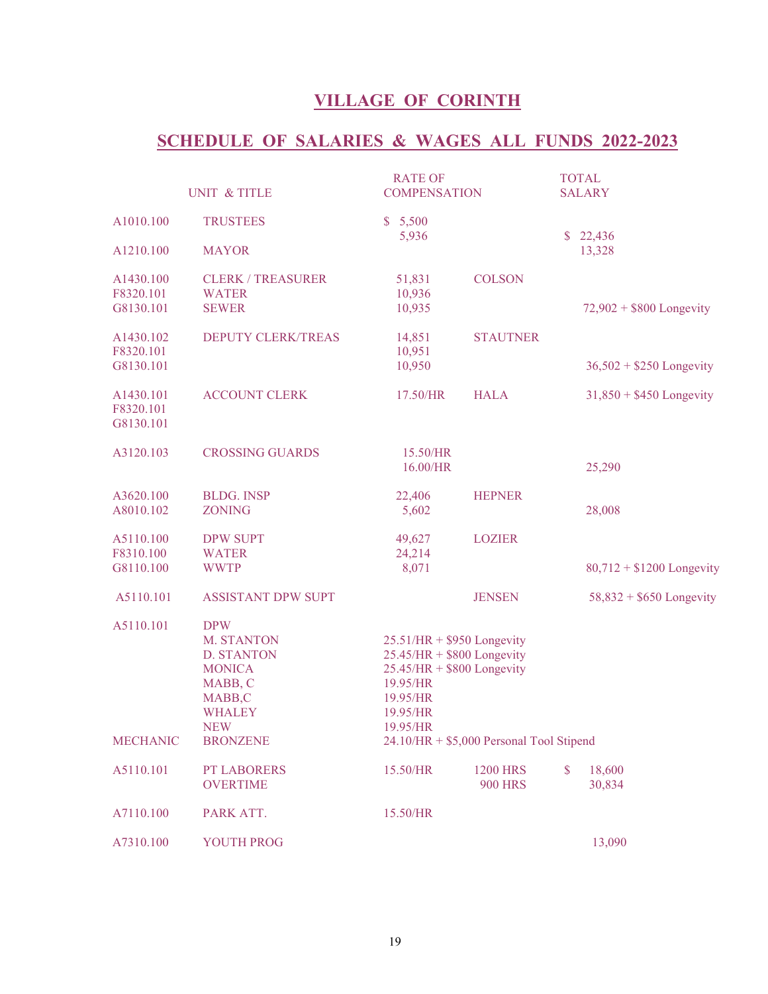## **SCHEDULE OF SALARIES & WAGES ALL FUNDS 2022-2023**

|                        | UNIT & TITLE                       | <b>RATE OF</b><br><b>COMPENSATION</b>                      |                                          |               | <b>TOTAL</b><br><b>SALARY</b> |
|------------------------|------------------------------------|------------------------------------------------------------|------------------------------------------|---------------|-------------------------------|
| A1010.100              | <b>TRUSTEES</b>                    | \$5,500<br>5,936                                           |                                          | $\mathbb{S}$  | 22,436                        |
| A1210.100              | <b>MAYOR</b>                       |                                                            |                                          |               | 13,328                        |
| A1430.100              | <b>CLERK / TREASURER</b>           | 51,831                                                     | <b>COLSON</b>                            |               |                               |
| F8320.101<br>G8130.101 | <b>WATER</b><br><b>SEWER</b>       | 10,936<br>10,935                                           |                                          |               | 72,902 + \$800 Longevity      |
| A1430.102              | <b>DEPUTY CLERK/TREAS</b>          | 14,851                                                     | <b>STAUTNER</b>                          |               |                               |
| F8320.101<br>G8130.101 |                                    | 10,951<br>10,950                                           |                                          |               | $36,502 + $250$ Longevity     |
| A1430.101              | <b>ACCOUNT CLERK</b>               | 17.50/HR                                                   | <b>HALA</b>                              |               | $31,850 + $450$ Longevity     |
| F8320.101<br>G8130.101 |                                    |                                                            |                                          |               |                               |
| A3120.103              | <b>CROSSING GUARDS</b>             | 15.50/HR<br>16.00/HR                                       |                                          |               | 25,290                        |
| A3620.100<br>A8010.102 | <b>BLDG. INSP</b><br><b>ZONING</b> | 22,406<br>5,602                                            | <b>HEPNER</b>                            |               | 28,008                        |
| A5110.100              | <b>DPW SUPT</b>                    | 49,627                                                     | <b>LOZIER</b>                            |               |                               |
| F8310.100<br>G8110.100 | <b>WATER</b><br><b>WWTP</b>        | 24,214<br>8,071                                            |                                          |               | $80,712 + $1200$ Longevity    |
| A5110.101              | <b>ASSISTANT DPW SUPT</b>          |                                                            | <b>JENSEN</b>                            |               | $58,832 + $650$ Longevity     |
| A5110.101              | <b>DPW</b>                         |                                                            |                                          |               |                               |
|                        | M. STANTON<br><b>D. STANTON</b>    | $25.51/HR + $950$ Longevity<br>$25.45/HR + $800$ Longevity |                                          |               |                               |
|                        | <b>MONICA</b>                      | $25.45/HR + $800$ Longevity                                |                                          |               |                               |
|                        | MABB, C                            | 19.95/HR                                                   |                                          |               |                               |
|                        | MABB,C                             | 19.95/HR                                                   |                                          |               |                               |
|                        | <b>WHALEY</b>                      | 19.95/HR                                                   |                                          |               |                               |
|                        | <b>NEW</b>                         | 19.95/HR                                                   |                                          |               |                               |
| <b>MECHANIC</b>        | <b>BRONZENE</b>                    |                                                            | 24.10/HR + \$5,000 Personal Tool Stipend |               |                               |
| A5110.101              | PT LABORERS<br><b>OVERTIME</b>     | 15.50/HR                                                   | <b>1200 HRS</b><br><b>900 HRS</b>        | $\mathsf{\$}$ | 18,600<br>30,834              |
| A7110.100              | PARK ATT.                          | 15.50/HR                                                   |                                          |               |                               |
| A7310.100              | <b>YOUTH PROG</b>                  |                                                            |                                          |               | 13,090                        |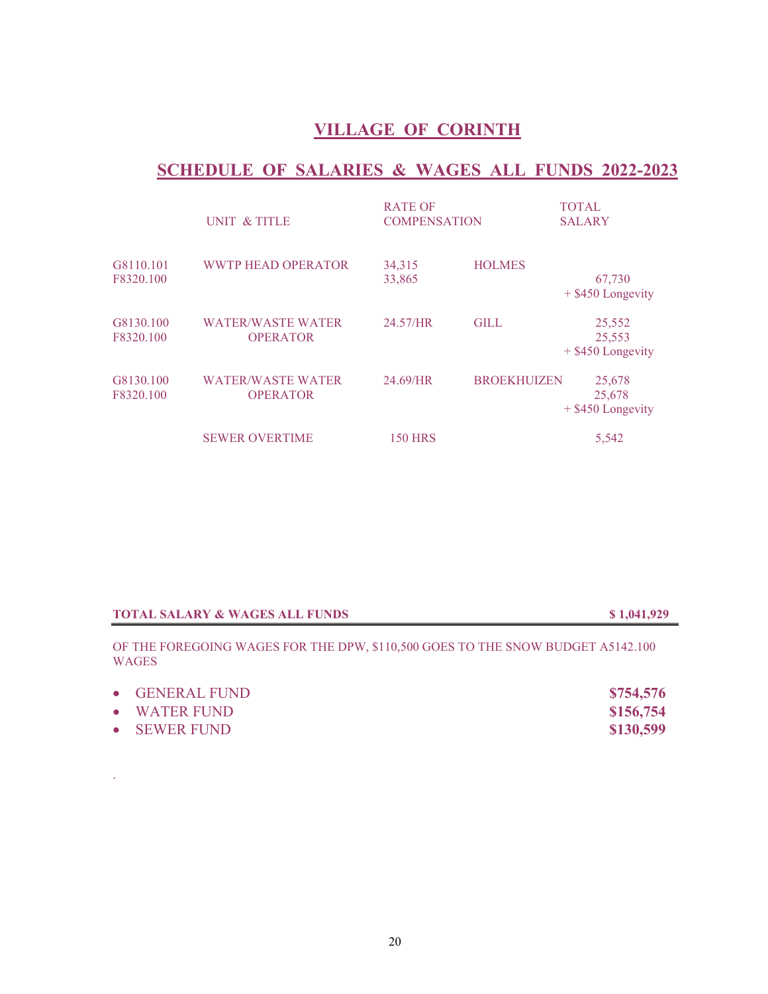## **SCHEDULE OF SALARIES & WAGES ALL FUNDS 2022-2023**

|                        | UNIT & TITLE                                | <b>RATE OF</b><br><b>COMPENSATION</b> |                    | <b>TOTAL</b><br><b>SALARY</b>           |
|------------------------|---------------------------------------------|---------------------------------------|--------------------|-----------------------------------------|
| G8110.101<br>F8320.100 | <b>WWTP HEAD OPERATOR</b>                   | 34,315<br>33,865                      | <b>HOLMES</b>      | 67,730<br>$+$ \$450 Longevity           |
| G8130.100<br>F8320.100 | <b>WATER/WASTE WATER</b><br><b>OPERATOR</b> | 24.57/HR                              | <b>GILL</b>        | 25,552<br>25,553<br>$+$ \$450 Longevity |
| G8130.100<br>F8320.100 | <b>WATER/WASTE WATER</b><br><b>OPERATOR</b> | 24.69/HR                              | <b>BROEKHUIZEN</b> | 25,678<br>25,678<br>$+$ \$450 Longevity |
|                        | <b>SEWER OVERTIME</b>                       | <b>150 HRS</b>                        |                    | 5,542                                   |

| <b>TOTAL SALARY &amp; WAGES ALL FUNDS</b>                                                            | \$1,041,929 |
|------------------------------------------------------------------------------------------------------|-------------|
|                                                                                                      |             |
| . OF THE EODECOING WACES EOD THE DDW $\phi$ 110 $\zeta$ 00 coes to the snow dupcet a $\zeta$ 142 100 |             |

OF THE FOREGOING WAGES FOR THE DPW, \$110,500 GOES TO THE SNOW BUDGET A5142.100 WAGES

| • GENERAL FUND | \$754,576 |
|----------------|-----------|
| • WATER FUND   | \$156,754 |
| • SEWER FUND   | \$130,599 |

.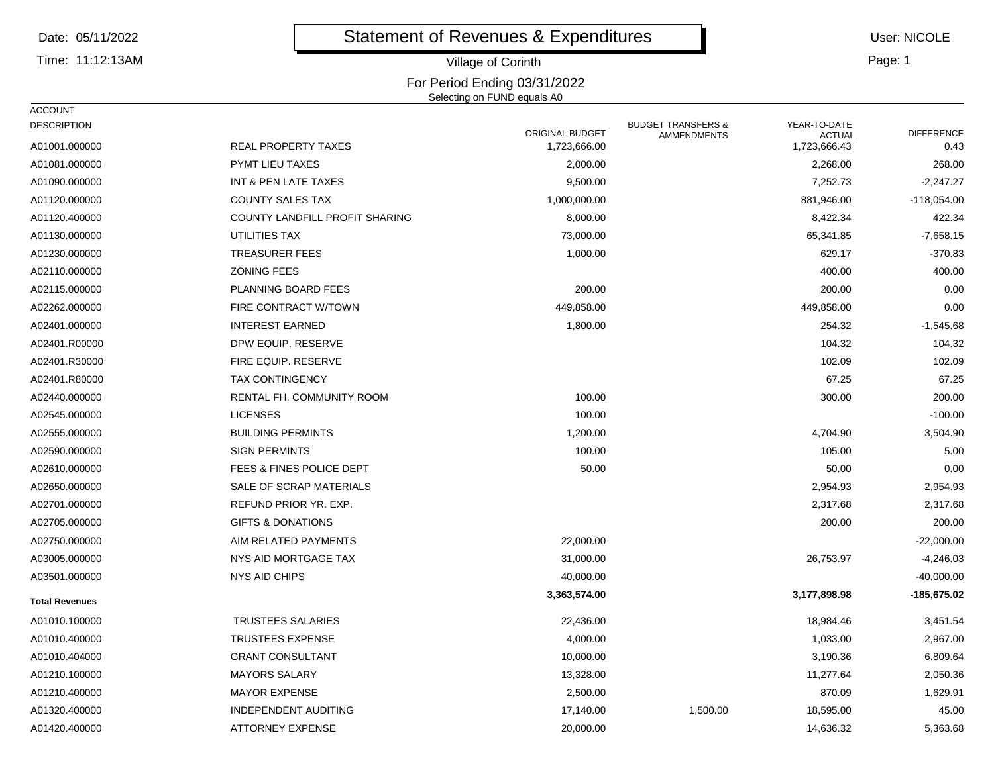Date:05/11/2022

Time: 11:12:13AM

# Statement of Revenues & Expenditures

User: NICOLE

Page: 1

### For Period Ending 03/31/2022 Selecting on FUND equals A0Village of Corinthh **Design Contract Contract Contract Contract Contract Contract Contract Contract Contract Contract Contract Contract Contract Contract Contract Contract Contract Contract Contract Contract Contract Contract Contract Contr**

| <b>ACCOUNT</b><br><b>DESCRIPTION</b> |                                | <b>ORIGINAL BUDGET</b> | <b>BUDGET TRANSFERS &amp;</b><br><b>AMMENDMENTS</b> | YEAR-TO-DATE<br><b>ACTUAL</b> | <b>DIFFERENCE</b> |
|--------------------------------------|--------------------------------|------------------------|-----------------------------------------------------|-------------------------------|-------------------|
| A01001.000000                        | <b>REAL PROPERTY TAXES</b>     | 1,723,666.00           |                                                     | 1,723,666.43                  | 0.43              |
| A01081.000000                        | <b>PYMT LIEU TAXES</b>         | 2,000.00               |                                                     | 2,268.00                      | 268.00            |
| A01090.000000                        | INT & PEN LATE TAXES           | 9,500.00               |                                                     | 7,252.73                      | $-2,247.27$       |
| A01120.000000                        | <b>COUNTY SALES TAX</b>        | 1,000,000.00           |                                                     | 881,946.00                    | $-118,054.00$     |
| A01120.400000                        | COUNTY LANDFILL PROFIT SHARING | 8,000.00               |                                                     | 8,422.34                      | 422.34            |
| A01130.000000                        | UTILITIES TAX                  | 73,000.00              |                                                     | 65,341.85                     | $-7,658.15$       |
| A01230.000000                        | <b>TREASURER FEES</b>          | 1,000.00               |                                                     | 629.17                        | $-370.83$         |
| A02110.000000                        | <b>ZONING FEES</b>             |                        |                                                     | 400.00                        | 400.00            |
| A02115.000000                        | PLANNING BOARD FEES            | 200.00                 |                                                     | 200.00                        | 0.00              |
| A02262.000000                        | FIRE CONTRACT W/TOWN           | 449,858.00             |                                                     | 449,858.00                    | 0.00              |
| A02401.000000                        | <b>INTEREST EARNED</b>         | 1,800.00               |                                                     | 254.32                        | $-1,545.68$       |
| A02401.R00000                        | DPW EQUIP. RESERVE             |                        |                                                     | 104.32                        | 104.32            |
| A02401.R30000                        | FIRE EQUIP. RESERVE            |                        |                                                     | 102.09                        | 102.09            |
| A02401.R80000                        | <b>TAX CONTINGENCY</b>         |                        |                                                     | 67.25                         | 67.25             |
| A02440.000000                        | RENTAL FH. COMMUNITY ROOM      | 100.00                 |                                                     | 300.00                        | 200.00            |
| A02545.000000                        | <b>LICENSES</b>                | 100.00                 |                                                     |                               | $-100.00$         |
| A02555.000000                        | <b>BUILDING PERMINTS</b>       | 1,200.00               |                                                     | 4,704.90                      | 3,504.90          |
| A02590.000000                        | <b>SIGN PERMINTS</b>           | 100.00                 |                                                     | 105.00                        | 5.00              |
| A02610.000000                        | FEES & FINES POLICE DEPT       | 50.00                  |                                                     | 50.00                         | 0.00              |
| A02650.000000                        | SALE OF SCRAP MATERIALS        |                        |                                                     | 2,954.93                      | 2,954.93          |
| A02701.000000                        | REFUND PRIOR YR. EXP.          |                        |                                                     | 2,317.68                      | 2,317.68          |
| A02705.000000                        | <b>GIFTS &amp; DONATIONS</b>   |                        |                                                     | 200.00                        | 200.00            |
| A02750.000000                        | AIM RELATED PAYMENTS           | 22,000.00              |                                                     |                               | $-22,000.00$      |
| A03005.000000                        | NYS AID MORTGAGE TAX           | 31,000.00              |                                                     | 26,753.97                     | $-4,246.03$       |
| A03501.000000                        | <b>NYS AID CHIPS</b>           | 40,000.00              |                                                     |                               | $-40,000.00$      |
| <b>Total Revenues</b>                |                                | 3,363,574.00           |                                                     | 3,177,898.98                  | -185,675.02       |
| A01010.100000                        | <b>TRUSTEES SALARIES</b>       | 22,436.00              |                                                     | 18,984.46                     | 3,451.54          |
| A01010.400000                        | <b>TRUSTEES EXPENSE</b>        | 4,000.00               |                                                     | 1,033.00                      | 2,967.00          |
| A01010.404000                        | <b>GRANT CONSULTANT</b>        | 10,000.00              |                                                     | 3,190.36                      | 6,809.64          |
| A01210.100000                        | <b>MAYORS SALARY</b>           | 13,328.00              |                                                     | 11,277.64                     | 2,050.36          |
| A01210.400000                        | <b>MAYOR EXPENSE</b>           | 2,500.00               |                                                     | 870.09                        | 1,629.91          |
| A01320.400000                        | INDEPENDENT AUDITING           | 17,140.00              | 1,500.00                                            | 18,595.00                     | 45.00             |
| A01420.400000                        | <b>ATTORNEY EXPENSE</b>        | 20,000.00              |                                                     | 14,636.32                     | 5,363.68          |
|                                      |                                |                        |                                                     |                               |                   |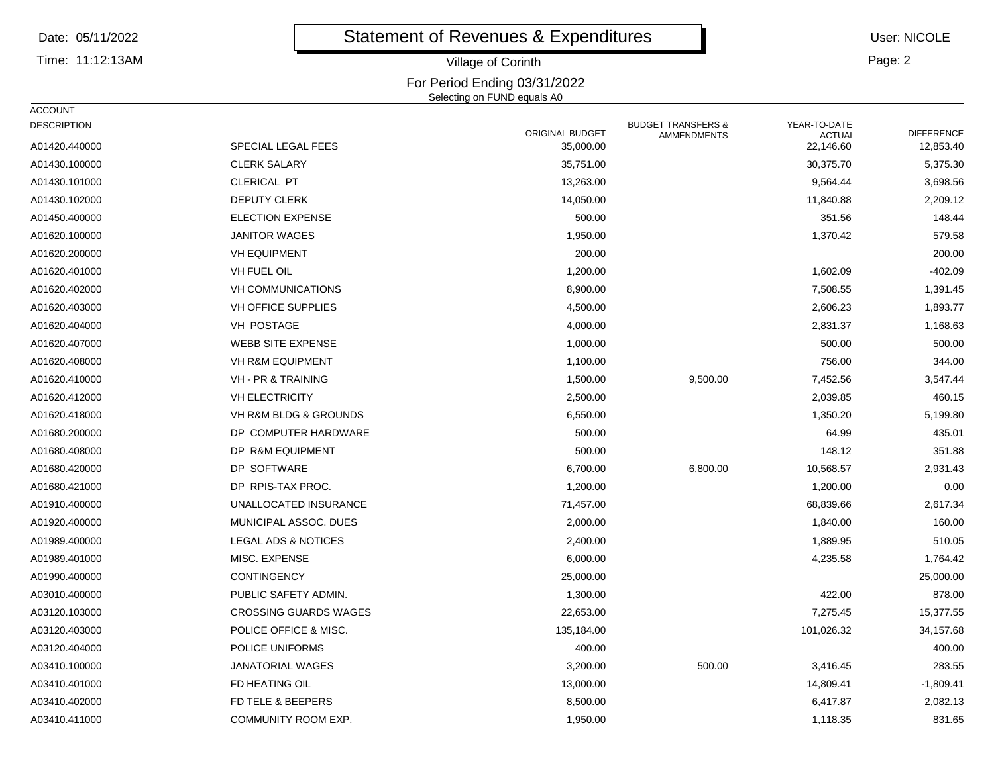#### Time: 11:12:13AM

# Statement of Revenues & Expenditures

User: NICOLE

Page: 2

### For Period Ending 03/31/2022 Selecting on FUND equals A0Village of Corinthh Dage: 2

| <b>ACCOUNT</b><br><b>DESCRIPTION</b> |                               | ORIGINAL BUDGET | <b>BUDGET TRANSFERS &amp;</b><br>AMMENDMENTS | YEAR-TO-DATE<br><b>ACTUAL</b> | <b>DIFFERENCE</b> |
|--------------------------------------|-------------------------------|-----------------|----------------------------------------------|-------------------------------|-------------------|
| A01420.440000                        | SPECIAL LEGAL FEES            | 35,000.00       |                                              | 22,146.60                     | 12,853.40         |
| A01430.100000                        | <b>CLERK SALARY</b>           | 35,751.00       |                                              | 30,375.70                     | 5,375.30          |
| A01430.101000                        | CLERICAL PT                   | 13,263.00       |                                              | 9,564.44                      | 3,698.56          |
| A01430.102000                        | <b>DEPUTY CLERK</b>           | 14,050.00       |                                              | 11,840.88                     | 2,209.12          |
| A01450.400000                        | <b>ELECTION EXPENSE</b>       | 500.00          |                                              | 351.56                        | 148.44            |
| A01620.100000                        | <b>JANITOR WAGES</b>          | 1,950.00        |                                              | 1,370.42                      | 579.58            |
| A01620.200000                        | <b>VH EQUIPMENT</b>           | 200.00          |                                              |                               | 200.00            |
| A01620.401000                        | VH FUEL OIL                   | 1,200.00        |                                              | 1,602.09                      | $-402.09$         |
| A01620.402000                        | <b>VH COMMUNICATIONS</b>      | 8,900.00        |                                              | 7,508.55                      | 1,391.45          |
| A01620.403000                        | <b>VH OFFICE SUPPLIES</b>     | 4,500.00        |                                              | 2,606.23                      | 1,893.77          |
| A01620.404000                        | VH POSTAGE                    | 4,000.00        |                                              | 2,831.37                      | 1,168.63          |
| A01620.407000                        | <b>WEBB SITE EXPENSE</b>      | 1,000.00        |                                              | 500.00                        | 500.00            |
| A01620.408000                        | <b>VH R&amp;M EQUIPMENT</b>   | 1,100.00        |                                              | 756.00                        | 344.00            |
| A01620.410000                        | <b>VH - PR &amp; TRAINING</b> | 1,500.00        | 9,500.00                                     | 7,452.56                      | 3,547.44          |
| A01620.412000                        | <b>VH ELECTRICITY</b>         | 2,500.00        |                                              | 2,039.85                      | 460.15            |
| A01620.418000                        | VH R&M BLDG & GROUNDS         | 6,550.00        |                                              | 1,350.20                      | 5,199.80          |
| A01680.200000                        | DP COMPUTER HARDWARE          | 500.00          |                                              | 64.99                         | 435.01            |
| A01680.408000                        | DP R&M EQUIPMENT              | 500.00          |                                              | 148.12                        | 351.88            |
| A01680.420000                        | DP SOFTWARE                   | 6,700.00        | 6,800.00                                     | 10,568.57                     | 2,931.43          |
| A01680.421000                        | DP RPIS-TAX PROC.             | 1,200.00        |                                              | 1,200.00                      | 0.00              |
| A01910.400000                        | UNALLOCATED INSURANCE         | 71,457.00       |                                              | 68,839.66                     | 2,617.34          |
| A01920.400000                        | MUNICIPAL ASSOC. DUES         | 2,000.00        |                                              | 1,840.00                      | 160.00            |
| A01989.400000                        | LEGAL ADS & NOTICES           | 2,400.00        |                                              | 1,889.95                      | 510.05            |
| A01989.401000                        | MISC. EXPENSE                 | 6,000.00        |                                              | 4,235.58                      | 1,764.42          |
| A01990.400000                        | <b>CONTINGENCY</b>            | 25,000.00       |                                              |                               | 25,000.00         |
| A03010.400000                        | PUBLIC SAFETY ADMIN.          | 1,300.00        |                                              | 422.00                        | 878.00            |
| A03120.103000                        | <b>CROSSING GUARDS WAGES</b>  | 22,653.00       |                                              | 7,275.45                      | 15,377.55         |
| A03120.403000                        | POLICE OFFICE & MISC.         | 135,184.00      |                                              | 101,026.32                    | 34,157.68         |
| A03120.404000                        | POLICE UNIFORMS               | 400.00          |                                              |                               | 400.00            |
| A03410.100000                        | <b>JANATORIAL WAGES</b>       | 3,200.00        | 500.00                                       | 3,416.45                      | 283.55            |
| A03410.401000                        | FD HEATING OIL                | 13,000.00       |                                              | 14,809.41                     | $-1,809.41$       |
| A03410.402000                        | FD TELE & BEEPERS             | 8,500.00        |                                              | 6,417.87                      | 2,082.13          |
| A03410.411000                        | COMMUNITY ROOM EXP.           | 1,950.00        |                                              | 1,118.35                      | 831.65            |
|                                      |                               |                 |                                              |                               |                   |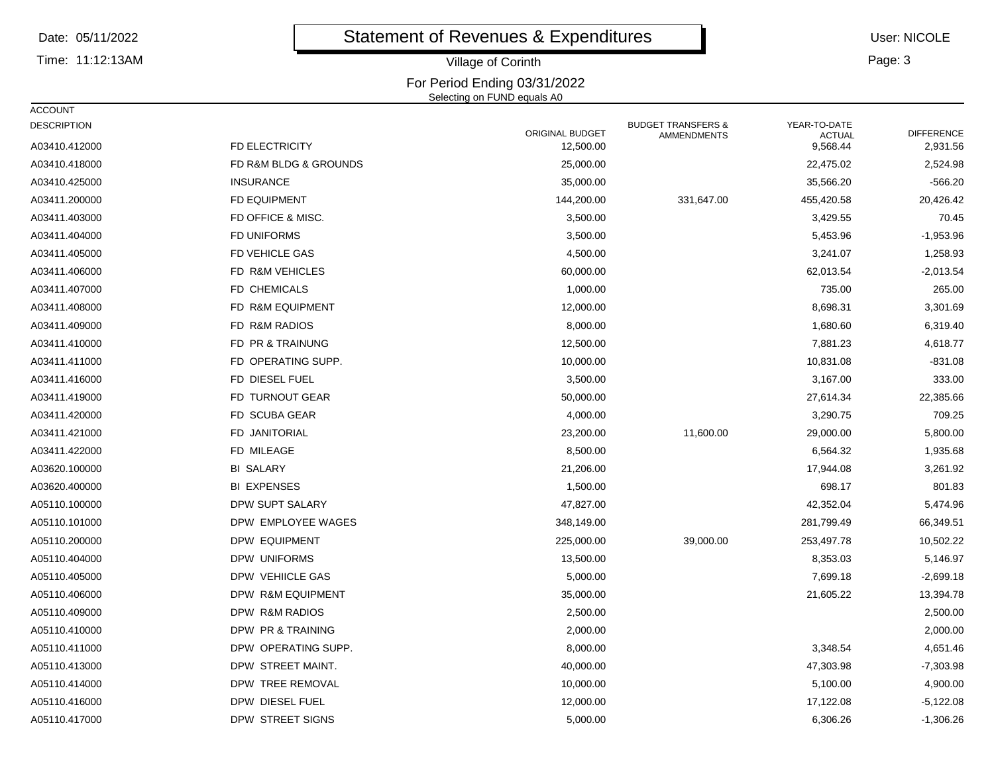#### Date:05/11/2022

Time: 11:12:13AM

# Statement of Revenues & Expenditures

User: NICOLE

Page: 3

### For Period Ending 03/31/2022 Selecting on FUND equals A0Village of Corinthh **Design Contract Contract Contract Contract Contract Contract Contract Contract Contract Contract Contract Contract Contract Contract Contract Contract Contract Contract Contract Contract Contract Contract Contract Contr**

| <b>ACCOUNT</b>     |                       |                        |                                              |                               |                   |
|--------------------|-----------------------|------------------------|----------------------------------------------|-------------------------------|-------------------|
| <b>DESCRIPTION</b> |                       | <b>ORIGINAL BUDGET</b> | <b>BUDGET TRANSFERS &amp;</b><br>AMMENDMENTS | YEAR-TO-DATE<br><b>ACTUAL</b> | <b>DIFFERENCE</b> |
| A03410.412000      | <b>FD ELECTRICITY</b> | 12,500.00              |                                              | 9,568.44                      | 2,931.56          |
| A03410.418000      | FD R&M BLDG & GROUNDS | 25,000.00              |                                              | 22,475.02                     | 2,524.98          |
| A03410.425000      | <b>INSURANCE</b>      | 35,000.00              |                                              | 35,566.20                     | $-566.20$         |
| A03411.200000      | <b>FD EQUIPMENT</b>   | 144,200.00             | 331,647.00                                   | 455,420.58                    | 20,426.42         |
| A03411.403000      | FD OFFICE & MISC.     | 3,500.00               |                                              | 3,429.55                      | 70.45             |
| A03411.404000      | FD UNIFORMS           | 3,500.00               |                                              | 5,453.96                      | $-1,953.96$       |
| A03411.405000      | FD VEHICLE GAS        | 4,500.00               |                                              | 3,241.07                      | 1,258.93          |
| A03411.406000      | FD R&M VEHICLES       | 60,000.00              |                                              | 62,013.54                     | $-2,013.54$       |
| A03411.407000      | FD CHEMICALS          | 1,000.00               |                                              | 735.00                        | 265.00            |
| A03411.408000      | FD R&M EQUIPMENT      | 12,000.00              |                                              | 8,698.31                      | 3,301.69          |
| A03411.409000      | FD R&M RADIOS         | 8,000.00               |                                              | 1,680.60                      | 6,319.40          |
| A03411.410000      | FD PR & TRAINUNG      | 12,500.00              |                                              | 7,881.23                      | 4,618.77          |
| A03411.411000      | FD OPERATING SUPP.    | 10,000.00              |                                              | 10,831.08                     | $-831.08$         |
| A03411.416000      | FD DIESEL FUEL        | 3,500.00               |                                              | 3,167.00                      | 333.00            |
| A03411.419000      | FD TURNOUT GEAR       | 50,000.00              |                                              | 27,614.34                     | 22,385.66         |
| A03411.420000      | FD SCUBA GEAR         | 4,000.00               |                                              | 3,290.75                      | 709.25            |
| A03411.421000      | FD JANITORIAL         | 23,200.00              | 11,600.00                                    | 29,000.00                     | 5,800.00          |
| A03411.422000      | FD MILEAGE            | 8,500.00               |                                              | 6,564.32                      | 1,935.68          |
| A03620.100000      | <b>BI SALARY</b>      | 21,206.00              |                                              | 17,944.08                     | 3,261.92          |
| A03620.400000      | <b>BI EXPENSES</b>    | 1,500.00               |                                              | 698.17                        | 801.83            |
| A05110.100000      | DPW SUPT SALARY       | 47,827.00              |                                              | 42,352.04                     | 5,474.96          |
| A05110.101000      | DPW EMPLOYEE WAGES    | 348,149.00             |                                              | 281,799.49                    | 66,349.51         |
| A05110.200000      | DPW EQUIPMENT         | 225,000.00             | 39,000.00                                    | 253,497.78                    | 10,502.22         |
| A05110.404000      | DPW UNIFORMS          | 13,500.00              |                                              | 8,353.03                      | 5,146.97          |
| A05110.405000      | DPW VEHIICLE GAS      | 5,000.00               |                                              | 7,699.18                      | $-2,699.18$       |
| A05110.406000      | DPW R&M EQUIPMENT     | 35,000.00              |                                              | 21,605.22                     | 13,394.78         |
| A05110.409000      | DPW R&M RADIOS        | 2,500.00               |                                              |                               | 2,500.00          |
| A05110.410000      | DPW PR & TRAINING     | 2,000.00               |                                              |                               | 2,000.00          |
| A05110.411000      | DPW OPERATING SUPP.   | 8,000.00               |                                              | 3,348.54                      | 4,651.46          |
| A05110.413000      | DPW STREET MAINT.     | 40,000.00              |                                              | 47,303.98                     | $-7,303.98$       |
| A05110.414000      | DPW TREE REMOVAL      | 10,000.00              |                                              | 5,100.00                      | 4,900.00          |
| A05110.416000      | DPW DIESEL FUEL       | 12,000.00              |                                              | 17,122.08                     | $-5,122.08$       |
| A05110.417000      | DPW STREET SIGNS      | 5,000.00               |                                              | 6,306.26                      | $-1,306.26$       |
|                    |                       |                        |                                              |                               |                   |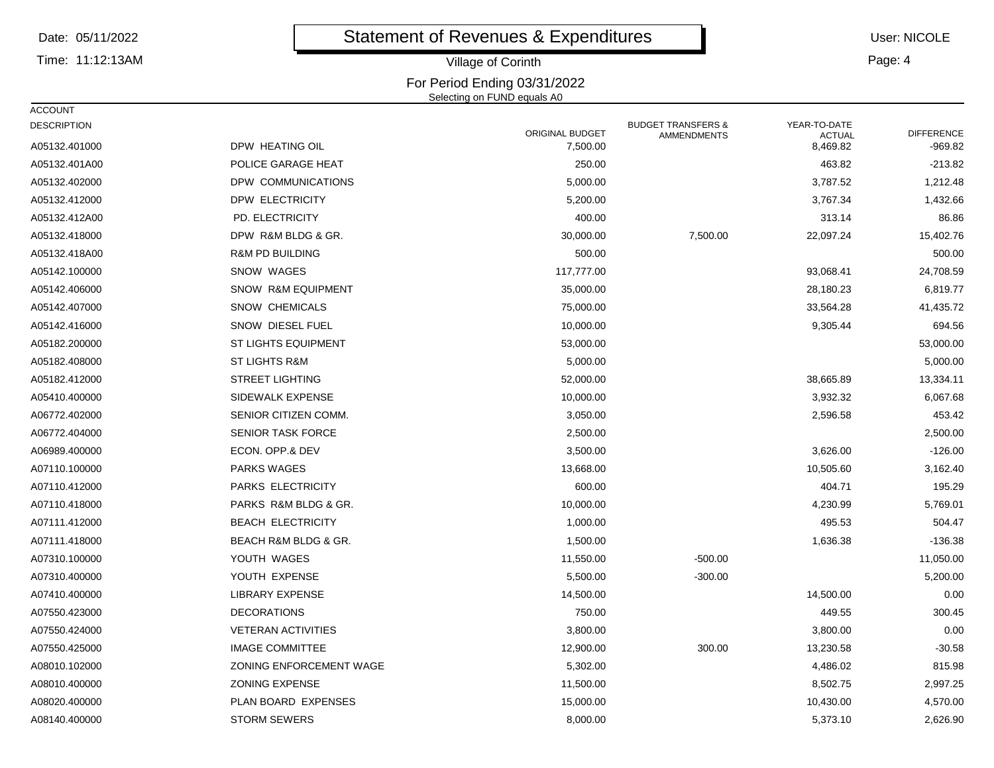Date:05/11/2022

Time: 11:12:13AM

# Statement of Revenues & Expenditures

User: NICOLE

h **Design Contract Contract Contract Contract Contract Contract Contract Contract Contract Contract Contract Contract Contract Contract Contract Contract Contract Contract Contract Contract Contract Contract Contract Contr** Page: 4

# For Period Ending 03/31/2022 Selecting on FUND equals A0Village of Corinth

| <b>ACCOUNT</b>     |                            |                 |                                              |                               |                   |
|--------------------|----------------------------|-----------------|----------------------------------------------|-------------------------------|-------------------|
| <b>DESCRIPTION</b> |                            | ORIGINAL BUDGET | <b>BUDGET TRANSFERS &amp;</b><br>AMMENDMENTS | YEAR-TO-DATE<br><b>ACTUAL</b> | <b>DIFFERENCE</b> |
| A05132.401000      | DPW HEATING OIL            | 7,500.00        |                                              | 8,469.82                      | $-969.82$         |
| A05132.401A00      | POLICE GARAGE HEAT         | 250.00          |                                              | 463.82                        | $-213.82$         |
| A05132.402000      | DPW COMMUNICATIONS         | 5,000.00        |                                              | 3,787.52                      | 1,212.48          |
| A05132.412000      | DPW ELECTRICITY            | 5,200.00        |                                              | 3,767.34                      | 1,432.66          |
| A05132.412A00      | PD. ELECTRICITY            | 400.00          |                                              | 313.14                        | 86.86             |
| A05132.418000      | DPW R&M BLDG & GR.         | 30,000.00       | 7,500.00                                     | 22,097.24                     | 15,402.76         |
| A05132.418A00      | <b>R&amp;M PD BUILDING</b> | 500.00          |                                              |                               | 500.00            |
| A05142.100000      | SNOW WAGES                 | 117,777.00      |                                              | 93,068.41                     | 24,708.59         |
| A05142.406000      | SNOW R&M EQUIPMENT         | 35,000.00       |                                              | 28,180.23                     | 6,819.77          |
| A05142.407000      | SNOW CHEMICALS             | 75,000.00       |                                              | 33,564.28                     | 41,435.72         |
| A05142.416000      | SNOW DIESEL FUEL           | 10,000.00       |                                              | 9,305.44                      | 694.56            |
| A05182.200000      | <b>ST LIGHTS EQUIPMENT</b> | 53,000.00       |                                              |                               | 53,000.00         |
| A05182.408000      | <b>ST LIGHTS R&amp;M</b>   | 5,000.00        |                                              |                               | 5,000.00          |
| A05182.412000      | <b>STREET LIGHTING</b>     | 52,000.00       |                                              | 38,665.89                     | 13,334.11         |
| A05410.400000      | SIDEWALK EXPENSE           | 10,000.00       |                                              | 3,932.32                      | 6,067.68          |
| A06772.402000      | SENIOR CITIZEN COMM.       | 3,050.00        |                                              | 2,596.58                      | 453.42            |
| A06772.404000      | <b>SENIOR TASK FORCE</b>   | 2,500.00        |                                              |                               | 2,500.00          |
| A06989.400000      | ECON. OPP.& DEV            | 3,500.00        |                                              | 3,626.00                      | $-126.00$         |
| A07110.100000      | <b>PARKS WAGES</b>         | 13,668.00       |                                              | 10,505.60                     | 3,162.40          |
| A07110.412000      | PARKS ELECTRICITY          | 600.00          |                                              | 404.71                        | 195.29            |
| A07110.418000      | PARKS R&M BLDG & GR.       | 10,000.00       |                                              | 4,230.99                      | 5,769.01          |
| A07111.412000      | <b>BEACH ELECTRICITY</b>   | 1,000.00        |                                              | 495.53                        | 504.47            |
| A07111.418000      | BEACH R&M BLDG & GR.       | 1,500.00        |                                              | 1,636.38                      | $-136.38$         |
| A07310.100000      | YOUTH WAGES                | 11,550.00       | $-500.00$                                    |                               | 11,050.00         |
| A07310.400000      | YOUTH EXPENSE              | 5,500.00        | $-300.00$                                    |                               | 5,200.00          |
| A07410.400000      | <b>LIBRARY EXPENSE</b>     | 14,500.00       |                                              | 14,500.00                     | 0.00              |
| A07550.423000      | <b>DECORATIONS</b>         | 750.00          |                                              | 449.55                        | 300.45            |
| A07550.424000      | <b>VETERAN ACTIVITIES</b>  | 3,800.00        |                                              | 3,800.00                      | 0.00              |
| A07550.425000      | <b>IMAGE COMMITTEE</b>     | 12,900.00       | 300.00                                       | 13,230.58                     | $-30.58$          |
| A08010.102000      | ZONING ENFORCEMENT WAGE    | 5,302.00        |                                              | 4,486.02                      | 815.98            |
| A08010.400000      | <b>ZONING EXPENSE</b>      | 11,500.00       |                                              | 8,502.75                      | 2,997.25          |
| A08020.400000      | PLAN BOARD EXPENSES        | 15,000.00       |                                              | 10,430.00                     | 4,570.00          |
| A08140.400000      | <b>STORM SEWERS</b>        | 8,000.00        |                                              | 5,373.10                      | 2,626.90          |
|                    |                            |                 |                                              |                               |                   |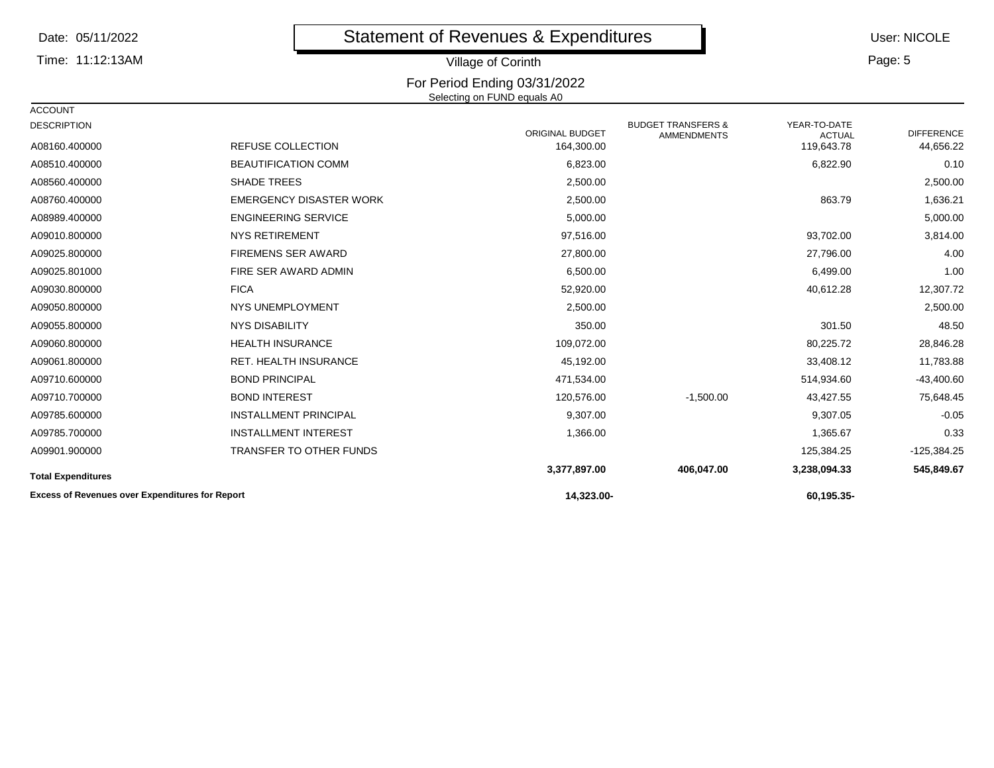| Date: 05/11/2022          |                                | Statement of Revenues & Expenditures                        |                                                     |                               | User: NICOLE      |  |
|---------------------------|--------------------------------|-------------------------------------------------------------|-----------------------------------------------------|-------------------------------|-------------------|--|
| Time: 11:12:13AM          | Village of Corinth             |                                                             |                                                     |                               | Page: 5           |  |
|                           |                                | For Period Ending 03/31/2022<br>Selecting on FUND equals A0 |                                                     |                               |                   |  |
| <b>ACCOUNT</b>            |                                |                                                             |                                                     |                               |                   |  |
| <b>DESCRIPTION</b>        |                                | <b>ORIGINAL BUDGET</b>                                      | <b>BUDGET TRANSFERS &amp;</b><br><b>AMMENDMENTS</b> | YEAR-TO-DATE<br><b>ACTUAL</b> | <b>DIFFERENCE</b> |  |
| A08160.400000             | REFUSE COLLECTION              | 164,300.00                                                  |                                                     | 119,643.78                    | 44,656.22         |  |
| A08510.400000             | <b>BEAUTIFICATION COMM</b>     | 6,823.00                                                    |                                                     | 6,822.90                      | 0.10              |  |
| A08560.400000             | <b>SHADE TREES</b>             | 2,500.00                                                    |                                                     |                               | 2,500.00          |  |
| A08760.400000             | <b>EMERGENCY DISASTER WORK</b> | 2,500.00                                                    |                                                     | 863.79                        | 1,636.21          |  |
| A08989.400000             | <b>ENGINEERING SERVICE</b>     | 5,000.00                                                    |                                                     |                               | 5,000.00          |  |
| A09010.800000             | <b>NYS RETIREMENT</b>          | 97,516.00                                                   |                                                     | 93,702.00                     | 3,814.00          |  |
| A09025.800000             | <b>FIREMENS SER AWARD</b>      | 27,800.00                                                   |                                                     | 27,796.00                     | 4.00              |  |
| A09025.801000             | FIRE SER AWARD ADMIN           | 6,500.00                                                    |                                                     | 6,499.00                      | 1.00              |  |
| A09030.800000             | <b>FICA</b>                    | 52,920.00                                                   |                                                     | 40,612.28                     | 12,307.72         |  |
| A09050.800000             | NYS UNEMPLOYMENT               | 2,500.00                                                    |                                                     |                               | 2,500.00          |  |
| A09055.800000             | <b>NYS DISABILITY</b>          | 350.00                                                      |                                                     | 301.50                        | 48.50             |  |
| A09060.800000             | <b>HEALTH INSURANCE</b>        | 109,072.00                                                  |                                                     | 80,225.72                     | 28,846.28         |  |
| A09061.800000             | RET. HEALTH INSURANCE          | 45,192.00                                                   |                                                     | 33,408.12                     | 11,783.88         |  |
| A09710.600000             | <b>BOND PRINCIPAL</b>          | 471,534.00                                                  |                                                     | 514,934.60                    | $-43,400.60$      |  |
| A09710.700000             | <b>BOND INTEREST</b>           | 120,576.00                                                  | $-1,500.00$                                         | 43,427.55                     | 75,648.45         |  |
| A09785.600000             | <b>INSTALLMENT PRINCIPAL</b>   | 9,307.00                                                    |                                                     | 9,307.05                      | $-0.05$           |  |
| A09785.700000             | <b>INSTALLMENT INTEREST</b>    | 1,366.00                                                    |                                                     | 1,365.67                      | 0.33              |  |
| A09901.900000             | TRANSFER TO OTHER FUNDS        |                                                             |                                                     | 125,384.25                    | $-125,384.25$     |  |
| <b>Total Expenditures</b> |                                | 3,377,897.00                                                | 406,047.00                                          | 3,238,094.33                  | 545,849.67        |  |

**14,323.00-**

**60,195.35-**

**Excess of Revenues over Expenditures for Report**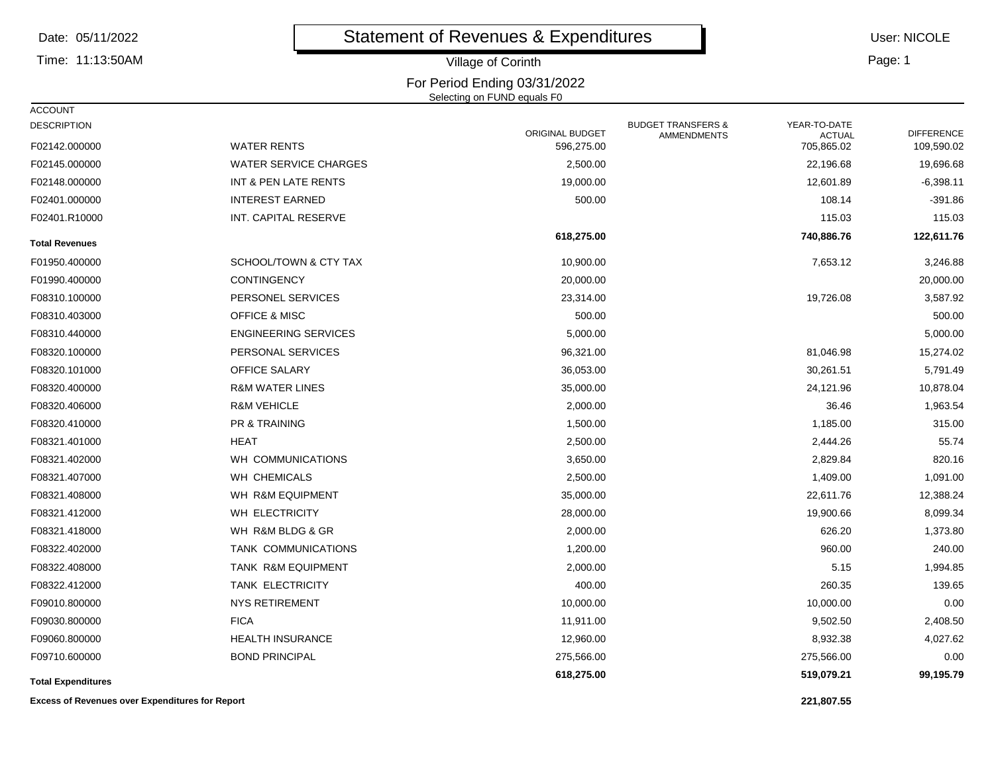|  |  | Date: 05/11/2022 |
|--|--|------------------|
|--|--|------------------|

#### Time: 11:13:50AM

# Statement of Revenues & Expenditures

User: NICOLE

Page: 1

### For Period Ending 03/31/2022 Selecting on FUND equals F0Village of Corinthh **Design Contract Contract Contract Contract Contract Contract Contract Contract Contract Contract Contract Contract Contract Contract Contract Contract Contract Contract Contract Contract Contract Contract Contract Contr**

| <b>ACCOUNT</b>                                         |                              |                 |                               |                             |                   |
|--------------------------------------------------------|------------------------------|-----------------|-------------------------------|-----------------------------|-------------------|
| <b>DESCRIPTION</b>                                     |                              | ORIGINAL BUDGET | <b>BUDGET TRANSFERS &amp;</b> | YEAR-TO-DATE                | <b>DIFFERENCE</b> |
| F02142.000000                                          | <b>WATER RENTS</b>           | 596,275.00      | AMMENDMENTS                   | <b>ACTUAL</b><br>705,865.02 | 109,590.02        |
| F02145.000000                                          | <b>WATER SERVICE CHARGES</b> | 2,500.00        |                               | 22,196.68                   | 19,696.68         |
| F02148.000000                                          | INT & PEN LATE RENTS         | 19,000.00       |                               | 12,601.89                   | $-6,398.11$       |
| F02401.000000                                          | <b>INTEREST EARNED</b>       | 500.00          |                               | 108.14                      | $-391.86$         |
| F02401.R10000                                          | INT. CAPITAL RESERVE         |                 |                               | 115.03                      | 115.03            |
| <b>Total Revenues</b>                                  |                              | 618,275.00      |                               | 740,886.76                  | 122,611.76        |
| F01950.400000                                          | SCHOOL/TOWN & CTY TAX        | 10,900.00       |                               | 7,653.12                    | 3,246.88          |
| F01990.400000                                          | <b>CONTINGENCY</b>           | 20,000.00       |                               |                             | 20,000.00         |
| F08310.100000                                          | PERSONEL SERVICES            | 23,314.00       |                               | 19,726.08                   | 3,587.92          |
| F08310.403000                                          | <b>OFFICE &amp; MISC</b>     | 500.00          |                               |                             | 500.00            |
| F08310.440000                                          | <b>ENGINEERING SERVICES</b>  | 5,000.00        |                               |                             | 5,000.00          |
| F08320.100000                                          | PERSONAL SERVICES            | 96,321.00       |                               | 81,046.98                   | 15,274.02         |
| F08320.101000                                          | OFFICE SALARY                | 36,053.00       |                               | 30,261.51                   | 5,791.49          |
| F08320.400000                                          | <b>R&amp;M WATER LINES</b>   | 35,000.00       |                               | 24,121.96                   | 10,878.04         |
| F08320.406000                                          | <b>R&amp;M VEHICLE</b>       | 2,000.00        |                               | 36.46                       | 1,963.54          |
| F08320.410000                                          | <b>PR &amp; TRAINING</b>     | 1,500.00        |                               | 1,185.00                    | 315.00            |
| F08321.401000                                          | <b>HEAT</b>                  | 2,500.00        |                               | 2,444.26                    | 55.74             |
| F08321.402000                                          | WH COMMUNICATIONS            | 3,650.00        |                               | 2,829.84                    | 820.16            |
| F08321.407000                                          | WH CHEMICALS                 | 2,500.00        |                               | 1,409.00                    | 1,091.00          |
| F08321.408000                                          | WH R&M EQUIPMENT             | 35,000.00       |                               | 22,611.76                   | 12,388.24         |
| F08321.412000                                          | WH ELECTRICITY               | 28,000.00       |                               | 19,900.66                   | 8,099.34          |
| F08321.418000                                          | WH R&M BLDG & GR             | 2,000.00        |                               | 626.20                      | 1,373.80          |
| F08322.402000                                          | TANK COMMUNICATIONS          | 1,200.00        |                               | 960.00                      | 240.00            |
| F08322.408000                                          | TANK R&M EQUIPMENT           | 2,000.00        |                               | 5.15                        | 1,994.85          |
| F08322.412000                                          | TANK ELECTRICITY             | 400.00          |                               | 260.35                      | 139.65            |
| F09010.800000                                          | <b>NYS RETIREMENT</b>        | 10,000.00       |                               | 10,000.00                   | 0.00              |
| F09030.800000                                          | <b>FICA</b>                  | 11,911.00       |                               | 9,502.50                    | 2,408.50          |
| F09060.800000                                          | <b>HEALTH INSURANCE</b>      | 12,960.00       |                               | 8,932.38                    | 4,027.62          |
| F09710.600000                                          | <b>BOND PRINCIPAL</b>        | 275,566.00      |                               | 275,566.00                  | 0.00              |
| <b>Total Expenditures</b>                              |                              | 618,275.00      |                               | 519,079.21                  | 99,195.79         |
| <b>Excess of Revenues over Expenditures for Report</b> |                              |                 |                               | 221,807.55                  |                   |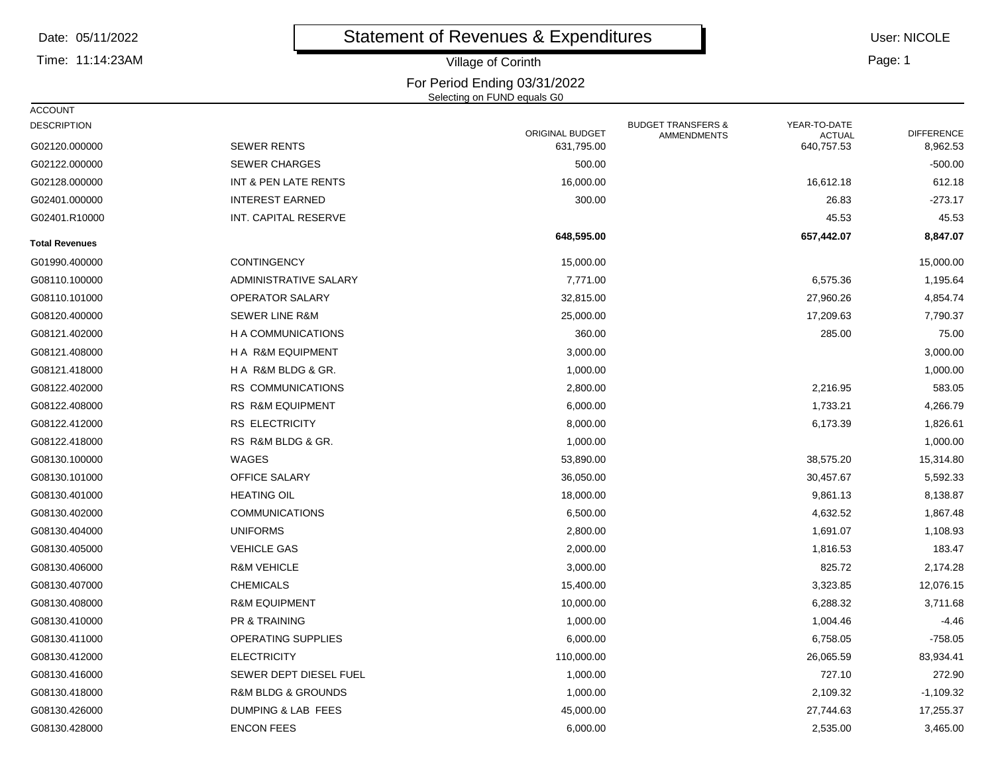| Date: 05/11/2022      |                                   | Statement of Revenues & Expenditures                        |                                              |                               | User: NICOLE      |  |
|-----------------------|-----------------------------------|-------------------------------------------------------------|----------------------------------------------|-------------------------------|-------------------|--|
| Time: 11:14:23AM      | Village of Corinth                |                                                             |                                              |                               | Page: 1           |  |
|                       |                                   | For Period Ending 03/31/2022<br>Selecting on FUND equals G0 |                                              |                               |                   |  |
| <b>ACCOUNT</b>        |                                   |                                                             |                                              |                               |                   |  |
| <b>DESCRIPTION</b>    |                                   | <b>ORIGINAL BUDGET</b>                                      | <b>BUDGET TRANSFERS &amp;</b><br>AMMENDMENTS | YEAR-TO-DATE<br><b>ACTUAL</b> | <b>DIFFERENCE</b> |  |
| G02120.000000         | <b>SEWER RENTS</b>                | 631,795.00                                                  |                                              | 640,757.53                    | 8,962.53          |  |
| G02122.000000         | SEWER CHARGES                     | 500.00                                                      |                                              |                               | $-500.00$         |  |
| G02128.000000         | INT & PEN LATE RENTS              | 16,000.00                                                   |                                              | 16,612.18                     | 612.18            |  |
| G02401.000000         | <b>INTEREST EARNED</b>            | 300.00                                                      |                                              | 26.83                         | $-273.17$         |  |
| G02401.R10000         | INT. CAPITAL RESERVE              |                                                             |                                              | 45.53                         | 45.53             |  |
| <b>Total Revenues</b> |                                   | 648,595.00                                                  |                                              | 657,442.07                    | 8,847.07          |  |
| G01990.400000         | <b>CONTINGENCY</b>                | 15,000.00                                                   |                                              |                               | 15,000.00         |  |
| G08110.100000         | ADMINISTRATIVE SALARY             | 7,771.00                                                    |                                              | 6,575.36                      | 1,195.64          |  |
| G08110.101000         | OPERATOR SALARY                   | 32,815.00                                                   |                                              | 27,960.26                     | 4,854.74          |  |
| G08120.400000         | <b>SEWER LINE R&amp;M</b>         | 25,000.00                                                   |                                              | 17,209.63                     | 7,790.37          |  |
| G08121.402000         | H A COMMUNICATIONS                | 360.00                                                      |                                              | 285.00                        | 75.00             |  |
| G08121.408000         | H A R&M EQUIPMENT                 | 3,000.00                                                    |                                              |                               | 3,000.00          |  |
| G08121.418000         | HA R&M BLDG & GR.                 | 1,000.00                                                    |                                              |                               | 1,000.00          |  |
| G08122.402000         | RS COMMUNICATIONS                 | 2,800.00                                                    |                                              | 2,216.95                      | 583.05            |  |
| G08122.408000         | RS R&M EQUIPMENT                  | 6,000.00                                                    |                                              | 1,733.21                      | 4,266.79          |  |
| G08122.412000         | RS ELECTRICITY                    | 8,000.00                                                    |                                              | 6,173.39                      | 1,826.61          |  |
| G08122.418000         | RS R&M BLDG & GR.                 | 1,000.00                                                    |                                              |                               | 1,000.00          |  |
| G08130.100000         | WAGES                             | 53,890.00                                                   |                                              | 38,575.20                     | 15,314.80         |  |
| G08130.101000         | OFFICE SALARY                     | 36,050.00                                                   |                                              | 30,457.67                     | 5,592.33          |  |
| G08130.401000         | <b>HEATING OIL</b>                | 18,000.00                                                   |                                              | 9,861.13                      | 8,138.87          |  |
| G08130.402000         | COMMUNICATIONS                    | 6,500.00                                                    |                                              | 4,632.52                      | 1,867.48          |  |
| G08130.404000         | <b>UNIFORMS</b>                   | 2,800.00                                                    |                                              | 1,691.07                      | 1,108.93          |  |
| G08130.405000         | <b>VEHICLE GAS</b>                | 2,000.00                                                    |                                              | 1,816.53                      | 183.47            |  |
| G08130.406000         | <b>R&amp;M VEHICLE</b>            | 3,000.00                                                    |                                              | 825.72                        | 2,174.28          |  |
| G08130.407000         | <b>CHEMICALS</b>                  | 15,400.00                                                   |                                              | 3,323.85                      | 12,076.15         |  |
| G08130.408000         | <b>R&amp;M EQUIPMENT</b>          | 10,000.00                                                   |                                              | 6,288.32                      | 3,711.68          |  |
| G08130.410000         | <b>PR &amp; TRAINING</b>          | 1,000.00                                                    |                                              | 1,004.46                      | $-4.46$           |  |
| G08130.411000         | <b>OPERATING SUPPLIES</b>         | 6,000.00                                                    |                                              | 6,758.05                      | $-758.05$         |  |
| G08130.412000         | <b>ELECTRICITY</b>                | 110,000.00                                                  |                                              | 26,065.59                     | 83,934.41         |  |
| G08130.416000         | SEWER DEPT DIESEL FUEL            | 1,000.00                                                    |                                              | 727.10                        | 272.90            |  |
| G08130.418000         | <b>R&amp;M BLDG &amp; GROUNDS</b> | 1,000.00                                                    |                                              | 2,109.32                      | $-1,109.32$       |  |

S 27,744.63 17,255.37

 $6,000.00$   $2,535.00$   $3,465.00$ 

G08130.426000

G08130.428000

DUMPING & LAB FEES

ENCON FEES